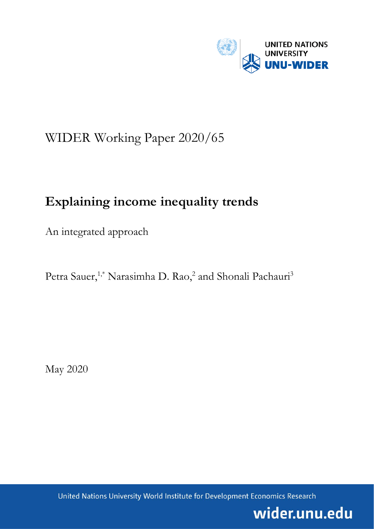

# WIDER Working Paper 2020/65

# **Explaining income inequality trends**

An integrated approach

Petra Sauer,<sup>1,\*</sup> Narasimha D. Rao,<sup>2</sup> and Shonali Pachauri<sup>3</sup>

May 2020

United Nations University World Institute for Development Economics Research

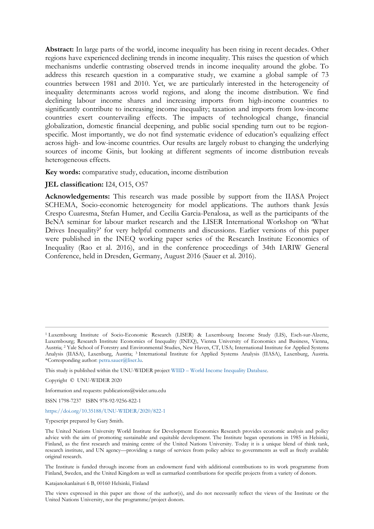**Abstract:** In large parts of the world, income inequality has been rising in recent decades. Other regions have experienced declining trends in income inequality. This raises the question of which mechanisms underlie contrasting observed trends in income inequality around the globe. To address this research question in a comparative study, we examine a global sample of 73 countries between 1981 and 2010. Yet, we are particularly interested in the heterogeneity of inequality determinants across world regions, and along the income distribution. We find declining labour income shares and increasing imports from high-income countries to significantly contribute to increasing income inequality; taxation and imports from low-income countries exert countervailing effects. The impacts of technological change, financial globalization, domestic financial deepening, and public social spending turn out to be regionspecific. Most importantly, we do not find systematic evidence of education's equalizing effect across high- and low-income countries. Our results are largely robust to changing the underlying sources of income Ginis, but looking at different segments of income distribution reveals heterogeneous effects.

**Key words:** comparative study, education, income distribution

## **JEL classification:** I24, O15, O57

**Acknowledgements:** This research was made possible by support from the IIASA Project SCHEMA, Socio-economic heterogeneity for model applications. The authors thank Jesús Crespo Cuaresma, Stefan Humer, and Cecilia Garcia-Penalosa, as well as the participants of the BeNA seminar for labour market research and the LISER International Workshop on 'What Drives Inequality?' for very helpful comments and discussions. Earlier versions of this paper were published in the INEQ working paper series of the Research Institute Economics of Inequality (Rao et al. 2016), and in the conference proceedings of 34th IARIW General Conference, held in Dresden, Germany, August 2016 (Sauer et al. 2016).

Information and requests: publications@wider.unu.edu

ISSN 1798-7237 ISBN 978-92-9256-822-1

<https://doi.org/10.35188/UNU-WIDER/2020/822-1>

Typescript prepared by Gary Smith.

The Institute is funded through income from an endowment fund with additional contributions to its work programme from Finland, Sweden, and the United Kingdom as well as earmarked contributions for specific projects from a variety of donors.

Katajanokanlaituri 6 B, 00160 Helsinki, Finland

The views expressed in this paper are those of the author(s), and do not necessarily reflect the views of the Institute or the United Nations University, nor the programme/project donors.

<sup>1</sup> Luxembourg Institute of Socio-Economic Research (LISER) & Luxembourg Income Study (LIS), Esch-sur-Alzette, Luxembourg; Research Institute Economics of Inequality (INEQ), Vienna University of Economics and Business, Vienna, Austria; 2 Yale School of Forestry and Environmental Studies, New Haven, CT, USA; International Institute for Applied Systems Analysis (IIASA), Laxenburg, Austria; 3 International Institute for Applied Systems Analysis (IIASA), Laxenburg, Austria. \*Corresponding author: petra.sauer@liser.lu.

This study is published within the UNU-WIDER project WIID – [World Income Inequality Database.](https://www.wider.unu.edu/node/8279)

Copyright © UNU-WIDER 2020

The United Nations University World Institute for Development Economics Research provides economic analysis and policy advice with the aim of promoting sustainable and equitable development. The Institute began operations in 1985 in Helsinki, Finland, as the first research and training centre of the United Nations University. Today it is a unique blend of think tank, research institute, and UN agency—providing a range of services from policy advice to governments as well as freely available original research.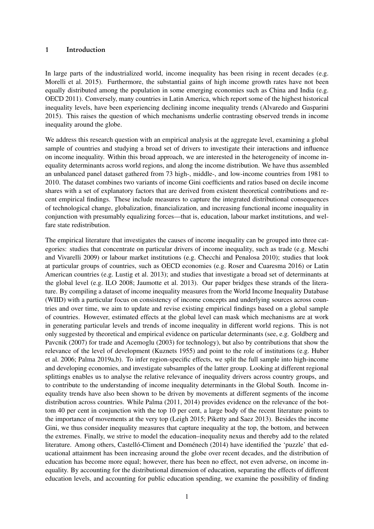#### <span id="page-2-1"></span><span id="page-2-0"></span>1 Introduction

In large parts of the industrialized world, income inequality has been rising in recent decades (e.g. [Morelli et al.](#page-36-0) [2015\)](#page-36-0). Furthermore, the substantial gains of high income growth rates have not been equally distributed among the population in some emerging economies such as China and India (e.g. [OECD](#page-37-0) [2011\)](#page-37-0). Conversely, many countries in Latin America, which report some of the highest historical inequality levels, have been experiencing declining income inequality trends [\(Alvaredo and Gasparini](#page-33-0) [2015\)](#page-33-0). This raises the question of which mechanisms underlie contrasting observed trends in income inequality around the globe.

We address this research question with an empirical analysis at the aggregate level, examining a global sample of countries and studying a broad set of drivers to investigate their interactions and influence on income inequality. Within this broad approach, we are interested in the heterogeneity of income inequality determinants across world regions, and along the income distribution. We have thus assembled an unbalanced panel dataset gathered from 73 high-, middle-, and low-income countries from 1981 to 2010. The dataset combines two variants of income Gini coefficients and ratios based on decile income shares with a set of explanatory factors that are derived from existent theoretical contributions and recent empirical findings. These include measures to capture the integrated distributional consequences of technological change, globalization, financialization, and increasing functional income inequality in conjunction with presumably equalizing forces—that is, education, labour market institutions, and welfare state redistribution.

The empirical literature that investigates the causes of income inequality can be grouped into three categories: studies that concentrate on particular drivers of income inequality, such as trade (e.g. [Meschi](#page-36-1) [and Vivarelli](#page-36-1) [2009\)](#page-36-1) or labour market institutions (e.g. [Checchi and Penalosa](#page-34-0) [2010\)](#page-34-0); studies that look at particular groups of countries, such as OECD economies (e.g. [Roser and Cuaresma](#page-37-1) [2016\)](#page-37-1) or Latin American countries (e.g. [Lustig et al.](#page-36-2) [2013\)](#page-36-2); and studies that investigate a broad set of determinants at the global level (e.g. [ILO](#page-35-0) [2008;](#page-35-0) [Jaumotte et al.](#page-36-3) [2013\)](#page-36-3). Our paper bridges these strands of the literature. By compiling a dataset of income inequality measures from the World Income Inequality Database (WIID) with a particular focus on consistency of income concepts and underlying sources across countries and over time, we aim to update and revise existing empirical findings based on a global sample of countries. However, estimated effects at the global level can mask which mechanisms are at work in generating particular levels and trends of income inequality in different world regions. This is not only suggested by theoretical and empirical evidence on particular determinants (see, e.g. [Goldberg and](#page-35-1) [Pavcnik](#page-35-1) [\(2007\)](#page-35-1) for trade and [Acemoglu](#page-33-1) [\(2003\)](#page-33-1) for technology), but also by contributions that show the relevance of the level of development [\(Kuznets](#page-36-4) [1955\)](#page-36-4) and point to the role of institutions (e.g. [Huber](#page-35-2) [et al.](#page-35-2) [2006;](#page-35-2) [Palma](#page-37-2) [2019a](#page-37-2)[,b\)](#page-37-3). To infer region-specific effects, we split the full sample into high-income and developing economies, and investigate subsamples of the latter group. Looking at different regional splittings enables us to analyse the relative relevance of inequality drivers across country groups, and to contribute to the understanding of income inequality determinants in the Global South. Income inequality trends have also been shown to be driven by movements at different segments of the income distribution across countries. While [Palma](#page-37-4) [\(2011,](#page-37-4) [2014\)](#page-37-5) provides evidence on the relevance of the bottom 40 per cent in conjunction with the top 10 per cent, a large body of the recent literature points to the importance of movements at the very top [\(Leigh](#page-36-5) [2015;](#page-36-5) [Piketty and Saez](#page-37-6) [2013\)](#page-37-6). Besides the income Gini, we thus consider inequality measures that capture inequality at the top, the bottom, and between the extremes. Finally, we strive to model the education–inequality nexus and thereby add to the related literature. Among others, [Castelló-Climent and Doménech](#page-34-1) [\(2014\)](#page-34-1) have identified the 'puzzle' that educational attainment has been increasing around the globe over recent decades, and the distribution of education has become more equal; however, there has been no effect, not even adverse, on income inequality. By accounting for the distributional dimension of education, separating the effects of different education levels, and accounting for public education spending, we examine the possibility of finding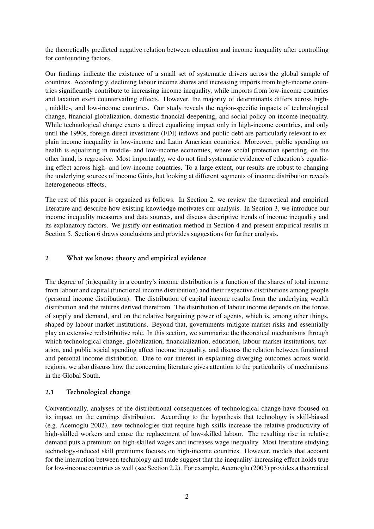the theoretically predicted negative relation between education and income inequality after controlling for confounding factors.

Our findings indicate the existence of a small set of systematic drivers across the global sample of countries. Accordingly, declining labour income shares and increasing imports from high-income countries significantly contribute to increasing income inequality, while imports from low-income countries and taxation exert countervailing effects. However, the majority of determinants differs across high- , middle-, and low-income countries. Our study reveals the region-specific impacts of technological change, financial globalization, domestic financial deepening, and social policy on income inequality. While technological change exerts a direct equalizing impact only in high-income countries, and only until the 1990s, foreign direct investment (FDI) inflows and public debt are particularly relevant to explain income inequality in low-income and Latin American countries. Moreover, public spending on health is equalizing in middle- and low-income economies, where social protection spending, on the other hand, is regressive. Most importantly, we do not find systematic evidence of education's equalizing effect across high- and low-income countries. To a large extent, our results are robust to changing the underlying sources of income Ginis, but looking at different segments of income distribution reveals heterogeneous effects.

The rest of this paper is organized as follows. In Section [2,](#page-3-0) we review the theoretical and empirical literature and describe how existing knowledge motivates our analysis. In Section [3,](#page-8-0) we introduce our income inequality measures and data sources, and discuss descriptive trends of income inequality and its explanatory factors. We justify our estimation method in Section [4](#page-16-0) and present empirical results in Section [5.](#page-17-0) Section [6](#page-32-0) draws conclusions and provides suggestions for further analysis.

## <span id="page-3-0"></span>2 What we know: theory and empirical evidence

The degree of (in)equality in a country's income distribution is a function of the shares of total income from labour and capital (functional income distribution) and their respective distributions among people (personal income distribution). The distribution of capital income results from the underlying wealth distribution and the returns derived therefrom. The distribution of labour income depends on the forces of supply and demand, and on the relative bargaining power of agents, which is, among other things, shaped by labour market institutions. Beyond that, governments mitigate market risks and essentially play an extensive redistributive role. In this section, we summarize the theoretical mechanisms through which technological change, globalization, financialization, education, labour market institutions, taxation, and public social spending affect income inequality, and discuss the relation between functional and personal income distribution. Due to our interest in explaining diverging outcomes across world regions, we also discuss how the concerning literature gives attention to the particularity of mechanisms in the Global South.

#### <span id="page-3-1"></span>2.1 Technological change

Conventionally, analyses of the distributional consequences of technological change have focused on its impact on the earnings distribution. According to the hypothesis that technology is skill-biased (e.g. [Acemoglu](#page-33-2) [2002\)](#page-33-2), new technologies that require high skills increase the relative productivity of high-skilled workers and cause the replacement of low-skilled labour. The resulting rise in relative demand puts a premium on high-skilled wages and increases wage inequality. Most literature studying technology-induced skill premiums focuses on high-income countries. However, models that account for the interaction between technology and trade suggest that the inequality-increasing effect holds true for low-income countries as well (see Section [2.2\)](#page-4-0). For example, [Acemoglu](#page-33-1) [\(2003\)](#page-33-1) provides a theoretical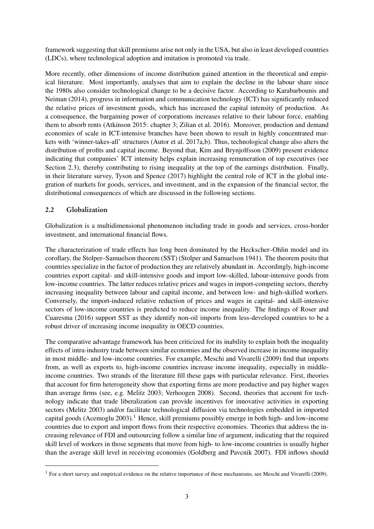framework suggesting that skill premiums arise not only in the USA, but also in least developed countries (LDCs), where technological adoption and imitation is promoted via trade.

More recently, other dimensions of income distribution gained attention in the theoretical and empirical literature. Most importantly, analyses that aim to explain the decline in the labour share since the 1980s also consider technological change to be a decisive factor. According to [Karabarbounis and](#page-36-6) [Neiman](#page-36-6) [\(2014\)](#page-36-6), progress in information and communication technology (ICT) has significantly reduced the relative prices of investment goods, which has increased the capital intensity of production. As a consequence, the bargaining power of corporations increases relative to their labour force, enabling them to absorb rents [\(Atkinson](#page-33-3) [2015:](#page-33-3) chapter 3; [Zilian et al.](#page-38-0) [2016\)](#page-38-0). Moreover, production and demand economies of scale in ICT-intensive branches have been shown to result in highly concentrated markets with 'winner-takes-all' structures [\(Autor et al.](#page-34-2) [2017a](#page-34-2)[,b\)](#page-34-3). Thus, technological change also alters the distribution of profits and capital income. Beyond that, [Kim and Brynjolfsson](#page-36-7) [\(2009\)](#page-36-7) present evidence indicating that companies' ICT intensity helps explain increasing remuneration of top executives (see Section [2.3\)](#page-5-0), thereby contributing to rising inequality at the top of the earnings distribution. Finally, in their literature survey, [Tyson and Spence](#page-38-1) [\(2017\)](#page-38-1) highlight the central role of ICT in the global integration of markets for goods, services, and investment, and in the expansion of the financial sector, the distributional consequences of which are discussed in the following sections.

## <span id="page-4-0"></span>2.2 Globalization

Globalization is a multidimensional phenomenon including trade in goods and services, cross-border investment, and international financial flows.

The characterization of trade effects has long been dominated by the Heckscher–Ohlin model and its corollary, the Stolper–Samuelson theorem (SST) [\(Stolper and Samuelson](#page-37-7) [1941\)](#page-37-7). The theorem posits that countries specialize in the factor of production they are relatively abundant in. Accordingly, high-income countries export capital- and skill-intensive goods and import low-skilled, labour-intensive goods from low-income countries. The latter reduces relative prices and wages in import-competing sectors, thereby increasing inequality between labour and capital income, and between low- and high-skilled workers. Conversely, the import-induced relative reduction of prices and wages in capital- and skill-intensive sectors of low-income countries is predicted to reduce income inequality. The findings of [Roser and](#page-37-1) [Cuaresma](#page-37-1) [\(2016\)](#page-37-1) support SST as they identify non-oil imports from less-developed countries to be a robust driver of increasing income inequality in OECD countries.

The comparative advantage framework has been criticized for its inability to explain both the inequality effects of intra-industry trade between similar economies and the observed increase in income inequality in most middle- and low-income countries. For example, [Meschi and Vivarelli](#page-36-1) [\(2009\)](#page-36-1) find that imports from, as well as exports to, high-income countries increase income inequality, especially in middleincome countries. Two strands of the literature fill these gaps with particular relevance. First, theories that account for firm heterogeneity show that exporting firms are more productive and pay higher wages than average firms (see, e.g. [Melitz](#page-36-8) [2003;](#page-36-8) [Verhoogen](#page-38-2) [2008\)](#page-38-2). Second, theories that account for technology indicate that trade liberalization can provide incentives for innovative activities in exporting sectors [\(Melitz](#page-36-8) [2003\)](#page-36-8) and/or facilitate technological diffusion via technologies embedded in imported capital goods [\(Acemoglu](#page-33-1) [2003\)](#page-33-1).<sup>[1](#page-2-0)</sup> Hence, skill premiums possibly emerge in both high- and low-income countries due to export and import flows from their respective economies. Theories that address the increasing relevance of FDI and outsourcing follow a similar line of argument, indicating that the required skill level of workers in those segments that move from high- to low-income countries is usually higher than the average skill level in receiving economies [\(Goldberg and Pavcnik](#page-35-1) [2007\)](#page-35-1). FDI inflows should

<sup>&</sup>lt;sup>1</sup> For a short survey and empirical evidence on the relative importance of these mechanisms, see [Meschi and Vivarelli](#page-36-1) [\(2009\)](#page-36-1).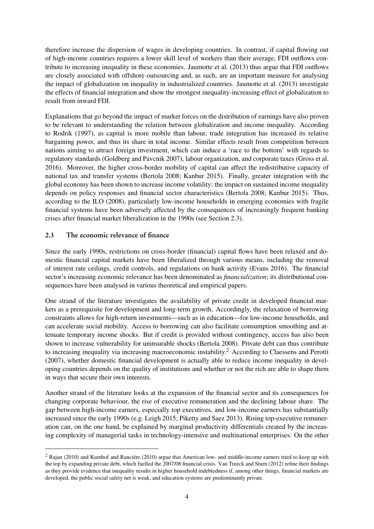therefore increase the dispersion of wages in developing countries. In contrast, if capital flowing out of high-income countries requires a lower skill level of workers than their average, FDI outflows contribute to increasing inequality in these economies. [Jaumotte et al.](#page-36-3) [\(2013\)](#page-36-3) thus argue that FDI outflows are closely associated with offshore outsourcing and, as such, are an important measure for analysing the impact of globalization on inequality in industrialized countries. [Jaumotte et al.](#page-36-3) [\(2013\)](#page-36-3) investigate the effects of financial integration and show the strongest inequality-increasing effect of globalization to result from inward FDI.

Explanations that go beyond the impact of market forces on the distribution of earnings have also proven to be relevant to understanding the relation between globalization and income inequality. According to [Rodrik](#page-37-8) [\(1997\)](#page-37-8), as capital is more mobile than labour, trade integration has increased its relative bargaining power, and thus its share in total income. Similar effects result from competition between nations aiming to attract foreign investment, which can induce a 'race to the bottom' with regards to regulatory standards [\(Goldberg and Pavcnik](#page-35-1) [2007\)](#page-35-1), labour organization, and corporate taxes [\(Gross et al.](#page-35-3) [2016\)](#page-35-3). Moreover, the higher cross-border mobility of capital can affect the redistributive capacity of national tax and transfer systems [\(Bertola](#page-34-4) [2008;](#page-34-4) [Kanbur](#page-36-9) [2015\)](#page-36-9). Finally, greater integration with the global economy has been shown to increase income volatility; the impact on sustained income inequality depends on policy responses and financial sector characteristics [\(Bertola](#page-34-4) [2008;](#page-34-4) [Kanbur](#page-36-9) [2015\)](#page-36-9). Thus, according to the [ILO](#page-35-0) [\(2008\)](#page-35-0), particularly low-income households in emerging economies with fragile financial systems have been adversely affected by the consequences of increasingly frequent banking crises after financial market liberalization in the 1990s (see Section [2.3\)](#page-5-0).

## <span id="page-5-0"></span>2.3 The economic relevance of finance

Since the early 1990s, restrictions on cross-border (financial) capital flows have been relaxed and domestic financial capital markets have been liberalized through various means, including the removal of interest rate ceilings, credit controls, and regulations on bank activity [\(Evans](#page-35-4) [2016\)](#page-35-4). The financial sector's increasing economic relevance has been denominated as *financialization*; its distributional consequences have been analysed in various theoretical and empirical papers.

One strand of the literature investigates the availability of private credit in developed financial markets as a prerequisite for development and long-term growth. Accordingly, the relaxation of borrowing constraints allows for high-return investments—such as in education—for low-income households, and can accelerate social mobility. Access to borrowing can also facilitate consumption smoothing and attenuate temporary income shocks. But if credit is provided without contingency, access has also been shown to increase vulnerability for uninsurable shocks [\(Bertola](#page-34-4) [2008\)](#page-34-4). Private debt can thus contribute to increasing inequality via increasing macroeconomic instability.[2](#page-2-0) According to [Claessens and Perotti](#page-34-5) [\(2007\)](#page-34-5), whether domestic financial development is actually able to reduce income inequality in developing countries depends on the quality of institutions and whether or not the rich are able to shape them in ways that secure their own interests.

Another strand of the literature looks at the expansion of the financial sector and its consequences for changing corporate behaviour, the rise of executive remuneration and the declining labour share. The gap between high-income earners, especially top executives, and low-income earners has substantially increased since the early 1990s (e.g. [Leigh](#page-36-5) [2015;](#page-36-5) [Piketty and Saez](#page-37-6) [2013\)](#page-37-6). Rising top-executive remuneration can, on the one hand, be explained by marginal productivity differentials created by the increasing complexity of managerial tasks in technology-intensive and multinational enterprises. On the other

 $2$  [Rajan](#page-37-9) [\(2010\)](#page-36-10) and [Kumhof and Ranciére](#page-36-10) (2010) argue that American low- and middle-income earners tried to keep up with the top by expanding private debt, which fuelled the 2007/08 financial crisis. [Van Treeck and Sturn](#page-38-3) [\(2012\)](#page-38-3) refine their findings as they provide evidence that inequality results in higher household indebtedness if, among other things, financial markets are developed, the public social safety net is weak, and education systems are predominantly private.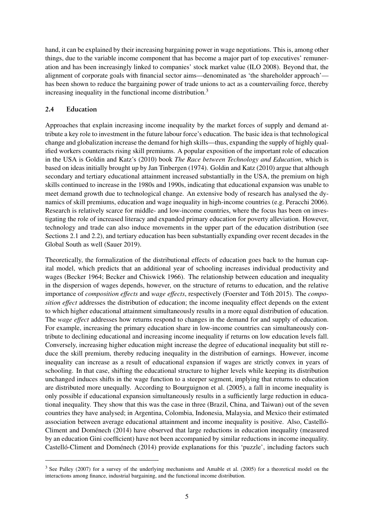hand, it can be explained by their increasing bargaining power in wage negotiations. This is, among other things, due to the variable income component that has become a major part of top executives' remuneration and has been increasingly linked to companies' stock market value [\(ILO](#page-35-0) [2008\)](#page-35-0). Beyond that, the alignment of corporate goals with financial sector aims—denominated as 'the shareholder approach' has been shown to reduce the bargaining power of trade unions to act as a countervailing force, thereby increasing inequality in the functional income distribution.[3](#page-2-0)

### <span id="page-6-0"></span>2.4 Education

Approaches that explain increasing income inequality by the market forces of supply and demand attribute a key role to investment in the future labour force's education. The basic idea is that technological change and globalization increase the demand for high skills—thus, expanding the supply of highly qualified workers counteracts rising skill premiums. A popular exposition of the important role of education in the USA is Goldin and Katz's [\(2010\)](#page-35-5) book *The Race between Technology and Education*, which is based on ideas initially brought up by Jan Tinbergen [\(1974\)](#page-37-10). [Goldin and Katz](#page-35-5) [\(2010\)](#page-35-5) argue that although secondary and tertiary educational attainment increased substantially in the USA, the premium on high skills continued to increase in the 1980s and 1990s, indicating that educational expansion was unable to meet demand growth due to technological change. An extensive body of research has analysed the dynamics of skill premiums, education and wage inequality in high-income countries (e.g. [Peracchi](#page-37-11) [2006\)](#page-37-11). Research is relatively scarce for middle- and low-income countries, where the focus has been on investigating the role of increased literacy and expanded primary education for poverty alleviation. However, technology and trade can also induce movements in the upper part of the education distribution (see Sections [2.1](#page-3-1) and [2.2\)](#page-4-0), and tertiary education has been substantially expanding over recent decades in the Global South as well [\(Sauer](#page-37-12) [2019\)](#page-37-12).

Theoretically, the formalization of the distributional effects of education goes back to the human capital model, which predicts that an additional year of schooling increases individual productivity and wages [\(Becker](#page-34-6) [1964;](#page-34-6) [Becker and Chiswick](#page-34-7) [1966\)](#page-34-7). The relationship between education and inequality in the dispersion of wages depends, however, on the structure of returns to education, and the relative importance of *composition effects* and *wage effects*, respectively [\(Foerster and Tóth](#page-35-6) [2015\)](#page-35-6). The *composition effect* addresses the distribution of education; the income inequality effect depends on the extent to which higher educational attainment simultaneously results in a more equal distribution of education. The *wage effect* addresses how returns respond to changes in the demand for and supply of education. For example, increasing the primary education share in low-income countries can simultaneously contribute to declining educational and increasing income inequality if returns on low education levels fall. Conversely, increasing higher education might increase the degree of educational inequality but still reduce the skill premium, thereby reducing inequality in the distribution of earnings. However, income inequality can increase as a result of educational expansion if wages are strictly convex in years of schooling. In that case, shifting the educational structure to higher levels while keeping its distribution unchanged induces shifts in the wage function to a steeper segment, implying that returns to education are distributed more unequally. According to [Bourguignon et al.](#page-34-8) [\(2005\)](#page-34-8), a fall in income inequality is only possible if educational expansion simultaneously results in a sufficiently large reduction in educational inequality. They show that this was the case in three (Brazil, China, and Taiwan) out of the seven countries they have analysed; in Argentina, Colombia, Indonesia, Malaysia, and Mexico their estimated association between average educational attainment and income inequality is positive. Also, [Castelló-](#page-34-1)[Climent and Doménech](#page-34-1) [\(2014\)](#page-34-1) have observed that large reductions in education inequality (measured by an education Gini coefficient) have not been accompanied by similar reductions in income inequality. [Castelló-Climent and Doménech](#page-34-1) [\(2014\)](#page-34-1) provide explanations for this 'puzzle', including factors such

<sup>&</sup>lt;sup>3</sup> See [Palley](#page-37-13) [\(2007\)](#page-37-13) for a survey of the underlying mechanisms and [Amable et al.](#page-33-4) [\(2005\)](#page-33-4) for a theoretical model on the interactions among finance, industrial bargaining, and the functional income distribution.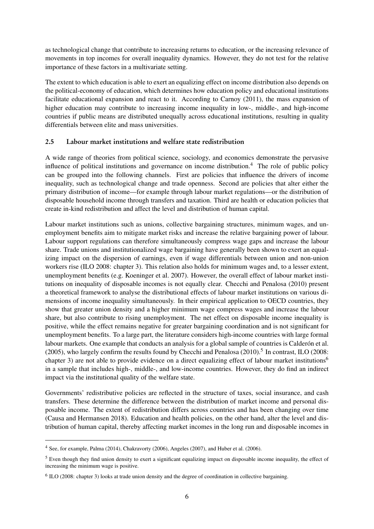as technological change that contribute to increasing returns to education, or the increasing relevance of movements in top incomes for overall inequality dynamics. However, they do not test for the relative importance of these factors in a multivariate setting.

The extent to which education is able to exert an equalizing effect on income distribution also depends on the political-economy of education, which determines how education policy and educational institutions facilitate educational expansion and react to it. According to [Carnoy](#page-34-9) [\(2011\)](#page-34-9), the mass expansion of higher education may contribute to increasing income inequality in low-, middle-, and high-income countries if public means are distributed unequally across educational institutions, resulting in quality differentials between elite and mass universities.

## <span id="page-7-0"></span>2.5 Labour market institutions and welfare state redistribution

A wide range of theories from political science, sociology, and economics demonstrate the pervasive influence of political institutions and governance on income distribution.<sup>[4](#page-2-0)</sup> The role of public policy can be grouped into the following channels. First are policies that influence the drivers of income inequality, such as technological change and trade openness. Second are policies that alter either the primary distribution of income—for example through labour market regulations—or the distribution of disposable household income through transfers and taxation. Third are health or education policies that create in-kind redistribution and affect the level and distribution of human capital.

Labour market institutions such as unions, collective bargaining structures, minimum wages, and unemployment benefits aim to mitigate market risks and increase the relative bargaining power of labour. Labour support regulations can therefore simultaneously compress wage gaps and increase the labour share. Trade unions and institutionalized wage bargaining have generally been shown to exert an equalizing impact on the dispersion of earnings, even if wage differentials between union and non-union workers rise [\(ILO](#page-35-0) [2008:](#page-35-0) chapter 3). This relation also holds for minimum wages and, to a lesser extent, unemployment benefits (e.g. [Koeninger et al.](#page-36-11) [2007\)](#page-36-11). However, the overall effect of labour market institutions on inequality of disposable incomes is not equally clear. [Checchi and Penalosa](#page-34-0) [\(2010\)](#page-34-0) present a theoretical framework to analyse the distributional effects of labour market institutions on various dimensions of income inequality simultaneously. In their empirical application to OECD countries, they show that greater union density and a higher minimum wage compress wages and increase the labour share, but also contribute to rising unemployment. The net effect on disposable income inequality is positive, while the effect remains negative for greater bargaining coordination and is not significant for unemployment benefits. To a large part, the literature considers high-income countries with large formal labour markets. One example that conducts an analysis for a global sample of countries is [Calderón et al.](#page-34-10) [\(2005\)](#page-34-10), who largely confirm the results found by [Checchi and Penalosa](#page-34-0)  $(2010)$ .<sup>[5](#page-2-0)</sup> In contrast, [ILO](#page-35-0) [\(2008:](#page-35-0) chapter 3) are not able to provide evidence on a direct equalizing effect of labour market institutions<sup>[6](#page-2-0)</sup> in a sample that includes high-, middle-, and low-income countries. However, they do find an indirect impact via the institutional quality of the welfare state.

Governments' redistributive policies are reflected in the structure of taxes, social insurance, and cash transfers. These determine the difference between the distribution of market income and personal disposable income. The extent of redistribution differs across countries and has been changing over time [\(Causa and Hermansen](#page-34-11) [2018\)](#page-34-11). Education and health policies, on the other hand, alter the level and distribution of human capital, thereby affecting market incomes in the long run and disposable incomes in

<sup>4</sup> See, for example, [Palma](#page-37-5) [\(2014\)](#page-37-5), [Chakravorty](#page-34-12) [\(2006\)](#page-34-12), [Angeles](#page-33-5) [\(2007\)](#page-33-5), and [Huber et al.](#page-35-2) [\(2006\)](#page-35-2).

<sup>&</sup>lt;sup>5</sup> Even though they find union density to exert a significant equalizing impact on disposable income inequality, the effect of increasing the minimum wage is positive.

<sup>&</sup>lt;sup>6</sup> [ILO](#page-35-0) [\(2008:](#page-35-0) chapter 3) looks at trade union density and the degree of coordination in collective bargaining.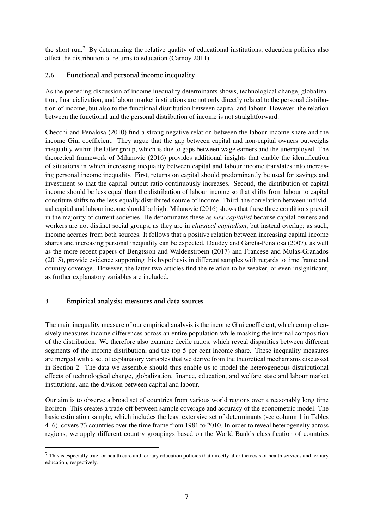the short run.[7](#page-2-0) By determining the relative quality of educational institutions, education policies also affect the distribution of returns to education [\(Carnoy](#page-34-9) [2011\)](#page-34-9).

## 2.6 Functional and personal income inequality

As the preceding discussion of income inequality determinants shows, technological change, globalization, financialization, and labour market institutions are not only directly related to the personal distribution of income, but also to the functional distribution between capital and labour. However, the relation between the functional and the personal distribution of income is not straightforward.

[Checchi and Penalosa](#page-34-0) [\(2010\)](#page-34-0) find a strong negative relation between the labour income share and the income Gini coefficient. They argue that the gap between capital and non-capital owners outweighs inequality within the latter group, which is due to gaps between wage earners and the unemployed. The theoretical framework of [Milanovic](#page-36-12) [\(2016\)](#page-36-12) provides additional insights that enable the identification of situations in which increasing inequality between capital and labour income translates into increasing personal income inequality. First, returns on capital should predominantly be used for savings and investment so that the capital–output ratio continuously increases. Second, the distribution of capital income should be less equal than the distribution of labour income so that shifts from labour to capital constitute shifts to the less-equally distributed source of income. Third, the correlation between individual capital and labour income should be high. [Milanovic](#page-36-12) [\(2016\)](#page-36-12) shows that these three conditions prevail in the majority of current societies. He denominates these as *new capitalist* because capital owners and workers are not distinct social groups, as they are in *classical capitalism*, but instead overlap; as such, income accrues from both sources. It follows that a positive relation between increasing capital income shares and increasing personal inequality can be expected. [Daudey and García-Penalosa](#page-35-7) [\(2007\)](#page-35-7), as well as the more recent papers of [Bengtsson and Waldenstroem](#page-34-13) [\(2017\)](#page-34-13) and [Francese and Mulas-Granados](#page-35-8) [\(2015\)](#page-35-8), provide evidence supporting this hypothesis in different samples with regards to time frame and country coverage. However, the latter two articles find the relation to be weaker, or even insignificant, as further explanatory variables are included.

# <span id="page-8-0"></span>3 Empirical analysis: measures and data sources

The main inequality measure of our empirical analysis is the income Gini coefficient, which comprehensively measures income differences across an entire population while masking the internal composition of the distribution. We therefore also examine decile ratios, which reveal disparities between different segments of the income distribution, and the top 5 per cent income share. These inequality measures are merged with a set of explanatory variables that we derive from the theoretical mechanisms discussed in Section [2.](#page-3-0) The data we assemble should thus enable us to model the heterogeneous distributional effects of technological change, globalization, finance, education, and welfare state and labour market institutions, and the division between capital and labour.

Our aim is to observe a broad set of countries from various world regions over a reasonably long time horizon. This creates a trade-off between sample coverage and accuracy of the econometric model. The basic estimation sample, which includes the least extensive set of determinants (see column 1 in Tables [4](#page-20-0)[–6\)](#page-22-0), covers 73 countries over the time frame from 1981 to 2010. In order to reveal heterogeneity across regions, we apply different country groupings based on the World Bank's classification of countries

<sup>&</sup>lt;sup>7</sup> This is especially true for health care and tertiary education policies that directly alter the costs of health services and tertiary education, respectively.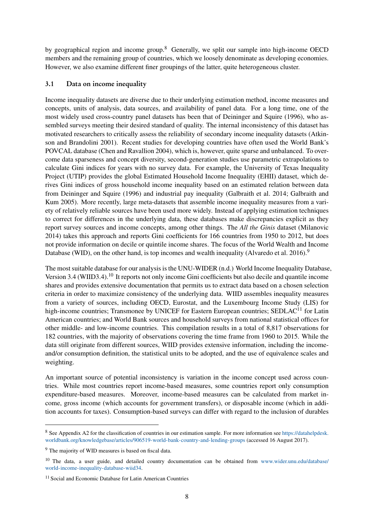by geographical region and income group.<sup>[8](#page-2-0)</sup> Generally, we split our sample into high-income OECD members and the remaining group of countries, which we loosely denominate as developing economies. However, we also examine different finer groupings of the latter, quite heterogeneous cluster.

### <span id="page-9-0"></span>3.1 Data on income inequality

Income inequality datasets are diverse due to their underlying estimation method, income measures and concepts, units of analysis, data sources, and availability of panel data. For a long time, one of the most widely used cross-country panel datasets has been that of [Deininger and Squire](#page-35-9) [\(1996\)](#page-35-9), who assembled surveys meeting their desired standard of quality. The internal inconsistency of this dataset has motivated researchers to critically assess the reliability of secondary income inequality datasets [\(Atkin](#page-33-6)[son and Brandolini](#page-33-6) [2001\)](#page-33-6). Recent studies for developing countries have often used the World Bank's POVCAL database [\(Chen and Ravallion](#page-34-14) [2004\)](#page-34-14), which is, however, quite sparse and unbalanced. To overcome data sparseness and concept diversity, second-generation studies use parametric extrapolations to calculate Gini indices for years with no survey data. For example, the University of Texas Inequality Project (UTIP) provides the global Estimated Household Income Inequality (EHII) dataset, which derives Gini indices of gross household income inequality based on an estimated relation between data from Deininger and Squire [\(1996\)](#page-35-9) and industrial pay inequality [\(Galbraith et al.](#page-35-10) [2014;](#page-35-10) [Galbraith and](#page-35-11) [Kum](#page-35-11) [2005\)](#page-35-11). More recently, large meta-datasets that assemble income inequality measures from a variety of relatively reliable sources have been used more widely. Instead of applying estimation techniques to correct for differences in the underlying data, these databases make discrepancies explicit as they report survey sources and income concepts, among other things. The *All the Ginis* dataset [\(Milanovic](#page-36-13) [2014\)](#page-36-13) takes this approach and reports Gini coefficients for 166 countries from 1950 to 2012, but does not provide information on decile or quintile income shares. The focus of the World Wealth and Income Database (WID), on the other hand, is top incomes and wealth inequality [\(Alvaredo et al.](#page-33-7) [2016\)](#page-33-7).<sup>[9](#page-2-0)</sup>

The most suitable database for our analysis is the [UNU-WIDER](#page-38-4) [\(n.d.\)](#page-38-4) World Income Inequality Database, Version 3.4 (WIID3.4).[10](#page-2-0) It reports not only income Gini coefficients but also decile and quantile income shares and provides extensive documentation that permits us to extract data based on a chosen selection criteria in order to maximize consistency of the underlying data. WIID assembles inequality measures from a variety of sources, including OECD, Eurostat, and the Luxembourg Income Study (LIS) for high-income countries; Transmonee by UNICEF for Eastern European countries; SEDLAC<sup>[11](#page-2-0)</sup> for Latin American countries; and World Bank sources and household surveys from national statistical offices for other middle- and low-income countries. This compilation results in a total of 8,817 observations for 182 countries, with the majority of observations covering the time frame from 1960 to 2015. While the data still originate from different sources, WIID provides extensive information, including the incomeand/or consumption definition, the statistical units to be adopted, and the use of equivalence scales and weighting.

An important source of potential inconsistency is variation in the income concept used across countries. While most countries report income-based measures, some countries report only consumption expenditure-based measures. Moreover, income-based measures can be calculated from market income, gross income (which accounts for government transfers), or disposable income (which in addition accounts for taxes). Consumption-based surveys can differ with regard to the inclusion of durables

<sup>8</sup> See Appendix [A2](#page-3-0) for the classification of countries in our estimation sample. For more information see [https://datahelpdesk.](https://datahelpdesk.worldbank.org/knowledgebase/articles/906519-world-bank-country-and-lending-groups) [worldbank.org/knowledgebase/articles/906519-world-bank-country-and-lending-groups](https://datahelpdesk.worldbank.org/knowledgebase/articles/906519-world-bank-country-and-lending-groups) (accessed 16 August 2017).

<sup>9</sup> The majority of WID measures is based on fiscal data.

<sup>&</sup>lt;sup>10</sup> The data, a user guide, and detailed country documentation can be obtained from [www.wider.unu.edu/database/](www.wider.unu.edu/database/world-income-inequality-database-wiid34) [world-income-inequality-database-wiid34.](www.wider.unu.edu/database/world-income-inequality-database-wiid34)

<sup>11</sup> Social and Economic Database for Latin American Countries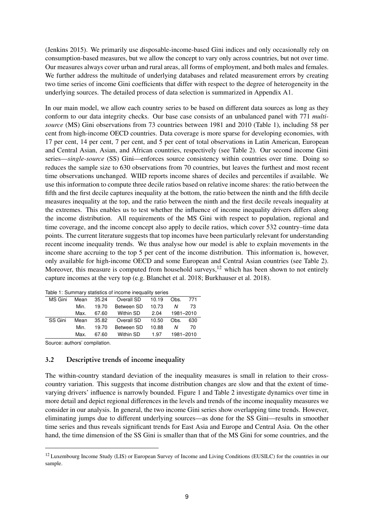[\(Jenkins](#page-36-14) [2015\)](#page-36-14). We primarily use disposable-income-based Gini indices and only occasionally rely on consumption-based measures, but we allow the concept to vary only across countries, but not over time. Our measures always cover urban and rural areas, all forms of employment, and both males and females. We further address the multitude of underlying databases and related measurement errors by creating two time series of income Gini coefficients that differ with respect to the degree of heterogeneity in the underlying sources. The detailed process of data selection is summarized in Appendix [A1.](#page-2-1)

In our main model, we allow each country series to be based on different data sources as long as they conform to our data integrity checks. Our base case consists of an unbalanced panel with 771 *multisource* (MS) Gini observations from 73 countries between 1981 and 2010 (Table [1\)](#page-10-0), including 58 per cent from high-income OECD countries. Data coverage is more sparse for developing economies, with 17 per cent, 14 per cent, 7 per cent, and 5 per cent of total observations in Latin American, European and Central Asian, Asian, and African countries, respectively (see Table [2\)](#page-11-0). Our second income Gini series—single-source (SS) Gini—enforces source consistency within countries over time. Doing so reduces the sample size to 630 observations from 70 countries, but leaves the furthest and most recent time observations unchanged. WIID reports income shares of deciles and percentiles if available. We use this information to compute three decile ratios based on relative income shares: the ratio between the fifth and the first decile captures inequality at the bottom, the ratio between the ninth and the fifth decile measures inequality at the top, and the ratio between the ninth and the first decile reveals inequality at the extremes. This enables us to test whether the influence of income inequality drivers differs along the income distribution. All requirements of the MS Gini with respect to population, regional and time coverage, and the income concept also apply to decile ratios, which cover 532 country–time data points. The current literature suggests that top incomes have been particularly relevant for understanding recent income inequality trends. We thus analyse how our model is able to explain movements in the income share accruing to the top 5 per cent of the income distribution. This information is, however, only available for high-income OECD and some European and Central Asian countries (see Table [2\)](#page-11-0). Moreover, this measure is computed from household surveys,  $12$  which has been shown to not entirely capture incomes at the very top (e.g. [Blanchet et al.](#page-34-15) [2018;](#page-34-15) [Burkhauser et al.](#page-34-16) [2018\)](#page-34-16).

| rable 1. Summary statistics of income inequality series |      |       |                     |       |           |     |  |  |  |
|---------------------------------------------------------|------|-------|---------------------|-------|-----------|-----|--|--|--|
| MS Gini                                                 | Mean | 35.24 | Overall SD          | 10.19 | Obs.      | 771 |  |  |  |
|                                                         | Min. | 19.70 | Between SD<br>10.73 |       | Ν         | 73  |  |  |  |
|                                                         | Max. | 67.60 | Within SD           | 2.04  | 1981-2010 |     |  |  |  |
| SS Gini                                                 | Mean | 35.82 | Overall SD          | 10.50 | Obs.      | 630 |  |  |  |
|                                                         | Min. | 19.70 | Between SD          | 10.88 | N         | 70  |  |  |  |
|                                                         | Max. | 67.60 | Within SD           | 1.97  | 1981-2010 |     |  |  |  |
|                                                         |      |       |                     |       |           |     |  |  |  |

<span id="page-10-0"></span>Table 1: Summary statistics of income inequality series

<span id="page-10-1"></span>Source: authors' compilation.

#### 3.2 Descriptive trends of income inequality

The within-country standard deviation of the inequality measures is small in relation to their crosscountry variation. This suggests that income distribution changes are slow and that the extent of timevarying drivers' influence is narrowly bounded. Figure [1](#page-12-0) and Table [2](#page-11-0) investigate dynamics over time in more detail and depict regional differences in the levels and trends of the income inequality measures we consider in our analysis. In general, the two income Gini series show overlapping time trends. However, eliminating jumps due to different underlying sources—as done for the SS Gini—results in smoother time series and thus reveals significant trends for East Asia and Europe and Central Asia. On the other hand, the time dimension of the SS Gini is smaller than that of the MS Gini for some countries, and the

<sup>&</sup>lt;sup>12</sup> Luxembourg Income Study (LIS) or European Survey of Income and Living Conditions (EUSILC) for the countries in our sample.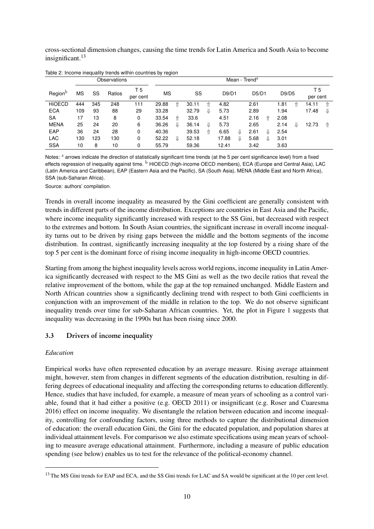cross-sectional dimension changes, causing the time trends for Latin America and South Asia to become insignificant.<sup>[13](#page-2-0)</sup>

|                     |           |     | Observations |                 |           |   |       |    |       |   | Mean - Trend <sup>a</sup> |   |       |   |                 |   |
|---------------------|-----------|-----|--------------|-----------------|-----------|---|-------|----|-------|---|---------------------------|---|-------|---|-----------------|---|
| Region <sup>b</sup> | <b>MS</b> | SS  | Ratios       | T 5<br>per cent | <b>MS</b> |   | SS    |    | D9/D1 |   | D5/D1                     |   | D9/D5 |   | T 5<br>per cent |   |
| <b>HIOECD</b>       | 444       | 345 | 248          | 111             | 29.88     | ⇑ | 30.11 | 11 | 4.82  |   | 2.61                      |   | 1.81  | ⇑ | 14.11           | ⇑ |
| <b>ECA</b>          | 109       | 93  | 88           | 29              | 33.28     |   | 32.79 | ⇓  | 5.73  |   | 2.89                      |   | 1.94  |   | 17.48           | ⇓ |
| <b>SA</b>           | 17        | 13  | 8            | 0               | 33.54     | ⇑ | 33.6  |    | 4.51  |   | 2.16                      | ⇑ | 2.08  |   |                 |   |
| <b>MENA</b>         | 25        | 24  | 20           | 6               | 36.26     | ⇓ | 36.14 | ⇓  | 5.73  |   | 2.65                      |   | 2.14  | ⇓ | 12.73           | ⇑ |
| EAP                 | 36        | 24  | 28           | 0               | 40.36     |   | 39.53 | ⇑  | 6.65  | ⇓ | 2.61                      | ⇓ | 2.54  |   |                 |   |
| <b>LAC</b>          | 130       | 123 | 130          | 0               | 52.22     | ⇓ | 52.18 |    | 17.88 | ⇓ | 5.68                      | ⇓ | 3.01  |   |                 |   |
| <b>SSA</b>          | 10        | 8   | 10           | 0               | 55.79     |   | 59.36 |    | 12.41 |   | 3.42                      |   | 3.63  |   |                 |   |

<span id="page-11-0"></span>Table 2: Income inequality trends within countries by region

Notes: <sup>a</sup> arrows indicate the direction of statistically significant time trends (at the 5 per cent significance level) from a fixed effects regression of inequality against time. **b** HiOECD (high-income OECD members), ECA (Europe and Central Asia), LAC (Latin America and Caribbean), EAP (Eastern Asia and the Pacific), SA (South Asia), MENA (Middle East and North Africa), SSA (sub-Saharan Africa).

Source: authors' compilation.

Trends in overall income inequality as measured by the Gini coefficient are generally consistent with trends in different parts of the income distribution. Exceptions are countries in East Asia and the Pacific, where income inequality significantly increased with respect to the SS Gini, but decreased with respect to the extremes and bottom. In South Asian countries, the significant increase in overall income inequality turns out to be driven by rising gaps between the middle and the bottom segments of the income distribution. In contrast, significantly increasing inequality at the top fostered by a rising share of the top 5 per cent is the dominant force of rising income inequality in high-income OECD countries.

Starting from among the highest inequality levels across world regions, income inequality in Latin America significantly decreased with respect to the MS Gini as well as the two decile ratios that reveal the relative improvement of the bottom, while the gap at the top remained unchanged. Middle Eastern and North African countries show a significantly declining trend with respect to both Gini coefficients in conjunction with an improvement of the middle in relation to the top. We do not observe significant inequality trends over time for sub-Saharan African countries. Yet, the plot in Figure [1](#page-12-0) suggests that inequality was decreasing in the 1990s but has been rising since 2000.

# 3.3 Drivers of income inequality

#### *Education*

Empirical works have often represented education by an average measure. Rising average attainment might, however, stem from changes in different segments of the education distribution, resulting in differing degrees of educational inequality and affecting the corresponding returns to education differently. Hence, studies that have included, for example, a measure of mean years of schooling as a control variable, found that it had either a positive (e.g. [OECD](#page-37-0) [2011\)](#page-37-0) or insignificant (e.g. [Roser and Cuaresma](#page-37-1) [2016\)](#page-37-1) effect on income inequality. We disentangle the relation between education and income inequality, controlling for confounding factors, using three methods to capture the distributional dimension of education: the overall education Gini, the Gini for the educated population, and population shares at individual attainment levels. For comparison we also estimate specifications using mean years of schooling to measure average educational attainment. Furthermore, including a measure of public education spending (see below) enables us to test for the relevance of the political-economy channel.

<sup>&</sup>lt;sup>13</sup> The MS Gini trends for EAP and ECA, and the SS Gini trends for LAC and SA would be significant at the 10 per cent level.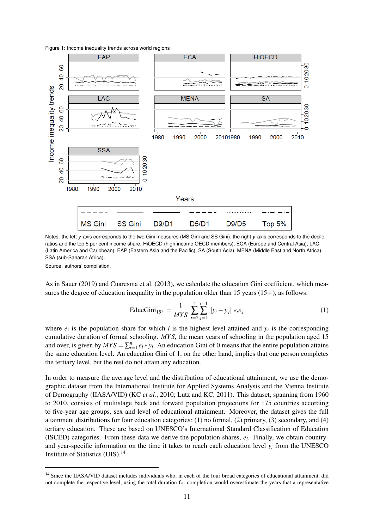<span id="page-12-0"></span>Figure 1: Income inequality trends across world regions



Notes: the left *y*-axis corresponds to the two Gini measures (MS Gini and SS Gini); the right *y*-axis corresponds to the decile ratios and the top 5 per cent income share. HiOECD (high-income OECD members), ECA (Europe and Central Asia), LAC (Latin America and Caribbean), EAP (Eastern Asia and the Pacific), SA (South Asia), MENA (Middle East and North Africa), SSA (sub-Saharan Africa).

Source: authors' compilation.

As in [Sauer](#page-37-12) [\(2019\)](#page-37-12) and [Cuaresma et al.](#page-35-12) [\(2013\)](#page-35-12), we calculate the education Gini coefficient, which measures the degree of education inequality in the population older than 15 years  $(15+)$ , as follows:

$$
EducGini_{15^{+}} = \frac{1}{MYS} \sum_{i=2}^{4} \sum_{j=1}^{i-1} |y_i - y_j| e_i e_j
$$
 (1)

where  $e_i$  is the population share for which *i* is the highest level attained and  $y_i$  is the corresponding cumulative duration of formal schooling. *MY S*, the mean years of schooling in the population aged 15 and over, is given by  $MYS = \sum_{i=1}^{n} e_i * y_i$ . An education Gini of 0 means that the entire population attains the same education level. An education Gini of 1, on the other hand, implies that one person completes the tertiary level, but the rest do not attain any education.

In order to measure the average level and the distribution of educational attainment, we use the demographic dataset from the International Institute for Applied Systems Analysis and the Vienna Institute of Demography (IIASA/VID) (KC *et al.*, [2010;](#page-36-15) Lutz and KC, [2011\)](#page-36-16). This dataset, spanning from 1960 to 2010, consists of multistage back and forward population projections for 175 countries according to five-year age groups, sex and level of educational attainment. Moreover, the dataset gives the full attainment distributions for four education categories: (1) no formal, (2) primary, (3) secondary, and (4) tertiary education. These are based on UNESCO's International Standard Classification of Education (ISCED) categories. From these data we derive the population shares, *e<sup>i</sup>* . Finally, we obtain countryand year-specific information on the time it takes to reach each education level *y<sup>i</sup>* from the UNESCO Institute of Statistics (UIS).[14](#page-2-0)

<sup>&</sup>lt;sup>14</sup> Since the IIASA/VID dataset includes individuals who, in each of the four broad categories of educational attainment, did not complete the respective level, using the total duration for completion would overestimate the years that a representative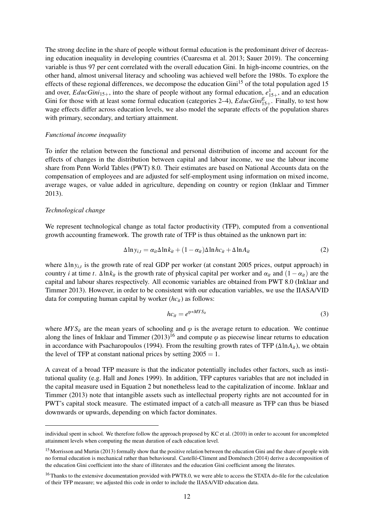The strong decline in the share of people without formal education is the predominant driver of decreasing education inequality in developing countries [\(Cuaresma et al.](#page-35-12) [2013;](#page-35-12) [Sauer](#page-37-12) [2019\)](#page-37-12). The concerning variable is thus 97 per cent correlated with the overall education Gini. In high-income countries, on the other hand, almost universal literacy and schooling was achieved well before the 1980s. To explore the effects of these regional differences, we decompose the education Gini<sup>[15](#page-2-0)</sup> of the total population aged 15 and over, *EducGini*<sub>15+</sub>, into the share of people without any formal education,  $e_{15+}^1$ , and an education Gini for those with at least some formal education (categories 2–4),  $EducGini_{15+}^E$ . Finally, to test how wage effects differ across education levels, we also model the separate effects of the population shares with primary, secondary, and tertiary attainment.

#### *Functional income inequality*

To infer the relation between the functional and personal distribution of income and account for the effects of changes in the distribution between capital and labour income, we use the labour income share from Penn World Tables (PWT) 8.0. Their estimates are based on National Accounts data on the compensation of employees and are adjusted for self-employment using information on mixed income, average wages, or value added in agriculture, depending on country or region [\(Inklaar and Timmer](#page-35-13) [2013\)](#page-35-13).

#### *Technological change*

We represent technological change as total factor productivity (TFP), computed from a conventional growth accounting framework. The growth rate of TFP is thus obtained as the unknown part in:

<span id="page-13-0"></span>
$$
\Delta \ln y_{i,t} = \alpha_{it} \Delta \ln k_{it} + (1 - \alpha_{it}) \Delta \ln h c_{it} + \Delta \ln A_{it}
$$
 (2)

where ∆ln *y<sub>i,t</sub>* is the growth rate of real GDP per worker (at constant 2005 prices, output approach) in country *i* at time *t*.  $\Delta \ln k_{it}$  is the growth rate of physical capital per worker and  $\alpha_{it}$  and  $(1 - \alpha_{it})$  are the capital and labour shares respectively. All economic variables are obtained from PWT 8.0 [\(Inklaar and](#page-35-13) [Timmer](#page-35-13) [2013\)](#page-35-13). However, in order to be consistent with our education variables, we use the IIASA/VID data for computing human capital by worker (*hcit*) as follows:

$$
hc_{it} = e^{\varphi * MYS_{it}} \tag{3}
$$

where  $MYS_{it}$  are the mean years of schooling and  $\varphi$  is the average return to education. We continue along the lines of [Inklaar and Timmer](#page-35-13)  $(2013)^{16}$  $(2013)^{16}$  $(2013)^{16}$  $(2013)^{16}$  and compute  $\varphi$  as piecewise linear returns to education in accordance with [Psacharopoulos](#page-37-14) [\(1994\)](#page-37-14). From the resulting growth rates of TFP ( $\Delta$ ln $A_{it}$ ), we obtain the level of TFP at constant national prices by setting  $2005 = 1$ .

A caveat of a broad TFP measure is that the indicator potentially includes other factors, such as institutional quality (e.g. [Hall and Jones](#page-35-14) [1999\)](#page-35-14). In addition, TFP captures variables that are not included in the capital measure used in Equation [2](#page-13-0) but nonetheless lead to the capitalization of income. [Inklaar and](#page-35-13) [Timmer](#page-35-13) [\(2013\)](#page-35-13) note that intangible assets such as intellectual property rights are not accounted for in PWT's capital stock measure. The estimated impact of a catch-all measure as TFP can thus be biased downwards or upwards, depending on which factor dominates.

individual spent in school. We therefore follow the approach proposed by [KC et al.](#page-36-15) [\(2010\)](#page-36-15) in order to account for uncompleted attainment levels when computing the mean duration of each education level.

<sup>&</sup>lt;sup>15</sup> [Morrisson and Murtin](#page-36-17) [\(2013\)](#page-36-17) formally show that the positive relation between the education Gini and the share of people with no formal education is mechanical rather than behavioural. Castelló-Climent and Doménech [\(2014\)](#page-34-1) derive a decomposition of the education Gini coefficient into the share of illiterates and the education Gini coefficient among the literates.

<sup>&</sup>lt;sup>16</sup> Thanks to the extensive documentation provided with PWT8.0, we were able to access the STATA do-file for the calculation of their TFP measure; we adjusted this code in order to include the IIASA/VID education data.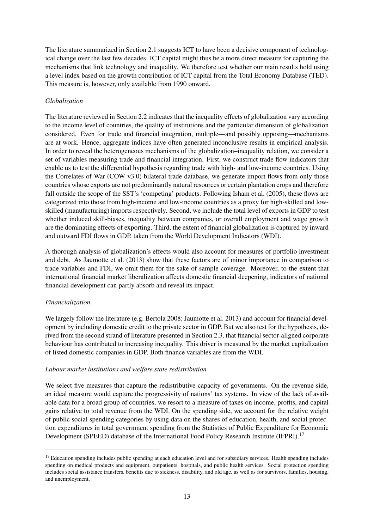The literature summarized in Section [2.1](#page-3-1) suggests ICT to have been a decisive component of technological change over the last few decades. ICT capital might thus be a more direct measure for capturing the mechanisms that link technology and inequality. We therefore test whether our main results hold using a level index based on the growth contribution of ICT capital from the Total Economy Database (TED). This measure is, however, only available from 1990 onward.

## *Globalization*

The literature reviewed in Section [2.2](#page-4-0) indicates that the inequality effects of globalization vary according to the income level of countries, the quality of institutions and the particular dimension of globalization considered. Even for trade and financial integration, multiple—and possibly opposing—mechanisms are at work. Hence, aggregate indices have often generated inconclusive results in empirical analysis. In order to reveal the heterogeneous mechanisms of the globalization–inequality relation, we consider a set of variables measuring trade and financial integration. First, we construct trade flow indicators that enable us to test the differential hypothesis regarding trade with high- and low-income countries. Using the Correlates of War (COW v3.0) bilateral trade database, we generate import flows from only those countries whose exports are not predominantly natural resources or certain plantation crops and therefore fall outside the scope of the SST's 'competing' products. Following [Isham et al.](#page-35-15) [\(2005\)](#page-35-15), these flows are categorized into those from high-income and low-income countries as a proxy for high-skilled and lowskilled (manufacturing) imports respectively. Second, we include the total level of exports in GDP to test whether induced skill-biases, inequality between companies, or overall employment and wage growth are the dominating effects of exporting. Third, the extent of financial globalization is captured by inward and outward FDI flows in GDP, taken from the World Development Indicators (WDI).

A thorough analysis of globalization's effects would also account for measures of portfolio investment and debt. As [Jaumotte et al.](#page-36-3) [\(2013\)](#page-36-3) show that these factors are of minor importance in comparison to trade variables and FDI, we omit them for the sake of sample coverage. Moreover, to the extent that international financial market liberalization affects domestic financial deepening, indicators of national financial development can partly absorb and reveal its impact.

#### *Financialization*

We largely follow the literature (e.g. [Bertola](#page-34-4) [2008;](#page-34-4) [Jaumotte et al.](#page-36-3) [2013\)](#page-36-3) and account for financial development by including domestic credit to the private sector in GDP. But we also test for the hypothesis, derived from the second strand of literature presented in Section [2.3,](#page-5-0) that financial sector-aligned corporate behaviour has contributed to increasing inequality. This driver is measured by the market capitalization of listed domestic companies in GDP. Both finance variables are from the WDI.

#### *Labour market institutions and welfare state redistribution*

We select five measures that capture the redistributive capacity of governments. On the revenue side, an ideal measure would capture the progressivity of nations' tax systems. In view of the lack of available data for a broad group of countries, we resort to a measure of taxes on income, profits, and capital gains relative to total revenue from the WDI. On the spending side, we account for the relative weight of public social spending categories by using data on the shares of education, health, and social protection expenditures in total government spending from the Statistics of Public Expenditure for Economic Development (SPEED) database of the International Food Policy Research Institute (IFPRI).<sup>[17](#page-2-0)</sup>

<sup>&</sup>lt;sup>17</sup> Education spending includes public spending at each education level and for subsidiary services. Health spending includes spending on medical products and equipment, outpatients, hospitals, and public health services. Social protection spending includes social assistance transfers, benefits due to sickness, disability, and old age, as well as for survivors, families, housing, and unemployment.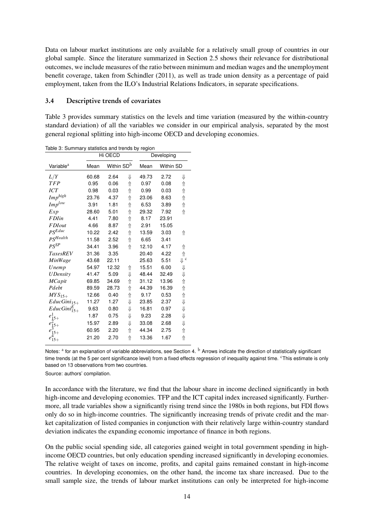Data on labour market institutions are only available for a relatively small group of countries in our global sample. Since the literature summarized in Section [2.5](#page-7-0) shows their relevance for distributional outcomes, we include measures of the ratio between minimum and median wages and the unemployment benefit coverage, taken from [Schindler](#page-37-15) [\(2011\)](#page-37-15), as well as trade union density as a percentage of paid employment, taken from the ILO's Industrial Relations Indicators, in separate specifications.

#### 3.4 Descriptive trends of covariates

Table [3](#page-15-0) provides summary statistics on the levels and time variation (measured by the within-country standard deviation) of all the variables we consider in our empirical analysis, separated by the most general regional splitting into high-income OECD and developing economies.

|                       |       | Hi OECD                |   |       | Developing |                           |
|-----------------------|-------|------------------------|---|-------|------------|---------------------------|
| Variable <sup>a</sup> | Mean  | Within SD <sup>b</sup> |   | Mean  | Within SD  |                           |
| L/Y                   | 60.68 | 2.64                   | ⇓ | 49.73 | 2.72       | ⇓                         |
| <b>TFP</b>            | 0.95  | 0.06                   | ⇑ | 0.97  | 0.08       | ⇑                         |
| ICT                   | 0.98  | 0.03                   | ⇑ | 0.99  | 0.03       | ⇑                         |
| $Imp^{high}$          | 23.76 | 4.37                   | ⇑ | 23.06 | 8.63       | ⇑                         |
| $Imp^{low}$           | 3.91  | 1.81                   | ⇑ | 6.53  | 3.89       | ⇑                         |
| Exp                   | 28.60 | 5.01                   | ⇑ | 29.32 | 7.92       | ⇑                         |
| <b>FDI</b> in         | 4.41  | 7.80                   | ⇑ | 8.17  | 23.91      |                           |
| <b>FDIout</b>         | 4.66  | 8.87                   | ⇑ | 2.91  | 15.05      |                           |
| $PS^{Educ}$           | 10.22 | 2.42                   | ⇑ | 13.59 | 3.03       | ⇑                         |
| PS <sup>Health</sup>  | 11.58 | 2.52                   | ⇑ | 6.65  | 3.41       |                           |
| $PS^{SP}$             | 34.41 | 3.96                   | 介 | 12.10 | 4.17       | ⇑                         |
| <b>TaxesREV</b>       | 31.36 | 3.35                   |   | 20.40 | 4.22       | ⇑                         |
| MinWage               | 43.68 | 22.11                  |   | 25.63 | 5.51       | $\Downarrow$ <sup>c</sup> |
| Unemp                 | 54.97 | 12.32                  | ⇑ | 15.51 | 6.00       | ⇓                         |
| <b>UDensity</b>       | 41.47 | 5.09                   | ⇓ | 48.44 | 32.49      | ⇓                         |
| <b>MCapit</b>         | 69.85 | 34.69                  | ⇑ | 31.12 | 13.96      | ⇑                         |
| Pdebt                 | 89.59 | 28.73                  | ⇑ | 44.39 | 16.39      | ⇑                         |
| $MYS_{15+}$           | 12.66 | 0.40                   | ⇑ | 9.17  | 0.53       | ⇑                         |
| $EducGini15+$         | 11.27 | 1.27                   | ⇓ | 23.85 | 2.37       | ⇓                         |
| $EducGini_{15+}^{E}$  | 9.63  | 0.80                   | ⇓ | 16.81 | 0.97       | ⇓                         |
| $e_{15+}^1$           | 1.87  | 0.75                   | ⇓ | 9.23  | 2.28       | ⇓                         |
| $e_{15+}^2$           | 15.97 | 2.89                   | ⇓ | 33.08 | 2.68       | ⇓                         |
| $e_{15+}^3$           | 60.95 | 2.20                   | ⇑ | 44.34 | 2.75       | ⇑                         |
| $e_{15+}^{4}$         | 21.20 | 2.70                   | ⇑ | 13.36 | 1.67       | ⇑                         |

<span id="page-15-0"></span>Table 3: Summary statistics and trends by region

Notes: <sup>a</sup> for an explanation of variable abbreviations, see Section [4.](#page-16-0) <sup>b</sup> Arrows indicate the direction of statistically significant time trends (at the 5 per cent significance level) from a fixed effects regression of inequality against time. This estimate is only based on 13 observations from two countries.

Source: authors' compilation.

In accordance with the literature, we find that the labour share in income declined significantly in both high-income and developing economies. TFP and the ICT capital index increased significantly. Furthermore, all trade variables show a significantly rising trend since the 1980s in both regions, but FDI flows only do so in high-income countries. The significantly increasing trends of private credit and the market capitalization of listed companies in conjunction with their relatively large within-country standard deviation indicates the expanding economic importance of finance in both regions.

On the public social spending side, all categories gained weight in total government spending in highincome OECD countries, but only education spending increased significantly in developing economies. The relative weight of taxes on income, profits, and capital gains remained constant in high-income countries. In developing economies, on the other hand, the income tax share increased. Due to the small sample size, the trends of labour market institutions can only be interpreted for high-income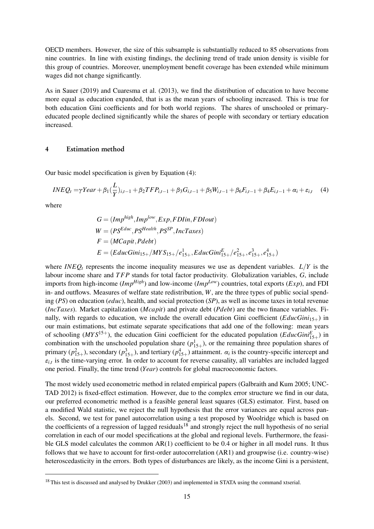OECD members. However, the size of this subsample is substantially reduced to 85 observations from nine countries. In line with existing findings, the declining trend of trade union density is visible for this group of countries. Moreover, unemployment benefit coverage has been extended while minimum wages did not change significantly.

As in [Sauer](#page-37-12) [\(2019\)](#page-37-12) and [Cuaresma et al.](#page-35-12) [\(2013\)](#page-35-12), we find the distribution of education to have become more equal as education expanded, that is as the mean years of schooling increased. This is true for both education Gini coefficients and for both world regions. The shares of unschooled or primaryeducated people declined significantly while the shares of people with secondary or tertiary education increased.

### <span id="page-16-0"></span>4 Estimation method

Our basic model specification is given by Equation [\(4\)](#page-16-1):

$$
INEQ_{t} = \gamma Year + \beta_1(\frac{L}{Y})_{i,t-1} + \beta_2 TFP_{i,t-1} + \beta_3 G_{i,t-1} + \beta_5 W_{i,t-1} + \beta_6 F_{i,t-1} + \beta_4 E_{i,t-1} + \alpha_i + \varepsilon_{i,t}
$$
(4)

where

<span id="page-16-1"></span>
$$
G = (Imp^{high}, Imp^{low}, Exp, FDlin, FDIout)
$$
  
\n
$$
W = (PS^{Educ}, PS^{Health}, PS^{SP}, IncTaxes)
$$
  
\n
$$
F = (MCapit, Pdebt)
$$
  
\n
$$
E = (EducGini_{15+}/MYS_{15+}/e_{15+}^{1}, EducGini_{15+}^{E}/e_{15+}^{2}, e_{15+}^{3}, e_{15+}^{4})
$$

where *INEQ<sup>t</sup>* represents the income inequality measures we use as dependent variables. *L*/*Y* is the labour income share and *T FP* stands for total factor productivity. Globalization variables, *G*, include imports from high-income (*ImpHigh*) and low-income (*ImpLow*) countries, total exports (*Exp*), and FDI in- and outflows. Measures of welfare state redistribution, *W*, are the three types of public social spending (*PS*) on education (*educ*), health, and social protection (*SP*), as well as income taxes in total revenue (*IncTaxes*). Market capitalization (*Mcapit*) and private debt (*Pdebt*) are the two finance variables. Finally, with regards to education, we include the overall education Gini coefficient (*EducGini*15+) in our main estimations, but estimate separate specifications that add one of the following: mean years of schooling ( $MYS^{15+}$ ), the education Gini coefficient for the educated population (*EducGini*<sup>*E*</sup><sub>15+</sub>) in combination with the unschooled population share  $(p_{15+}^1)$ , or the remaining three population shares of primary  $(p_{15+}^2)$ , secondary  $(p_{15+}^3)$ , and tertiary  $(p_{15+}^4)$  attainment.  $\alpha_i$  is the country-specific intercept and  $\varepsilon_{i,t}$  is the time-varying error. In order to account for reverse causality, all variables are included lagged one period. Finally, the time trend (*Year*) controls for global macroeconomic factors.

The most widely used econometric method in related empirical papers (Galbraith and Kum 2005; UNC-TAD 2012) is fixed-effect estimation. However, due to the complex error structure we find in our data, our preferred econometric method is a feasible general least squares (GLS) estimator. First, based on a modified Wald statistic, we reject the null hypothesis that the error variances are equal across panels. Second, we test for panel autocorrelation using a test proposed by Woolridge which is based on the coefficients of a regression of lagged residuals<sup>[18](#page-2-0)</sup> and strongly reject the null hypothesis of no serial correlation in each of our model specifications at the global and regional levels. Furthermore, the feasible GLS model calculates the common AR(1) coefficient to be 0.4 or higher in all model runs. It thus follows that we have to account for first-order autocorrelation (AR1) and groupwise (i.e. country-wise) heteroscedasticity in the errors. Both types of disturbances are likely, as the income Gini is a persistent,

<sup>&</sup>lt;sup>18</sup> This test is discussed and analysed by [Drukker](#page-35-16) [\(2003\)](#page-35-16) and implemented in STATA using the command xtserial.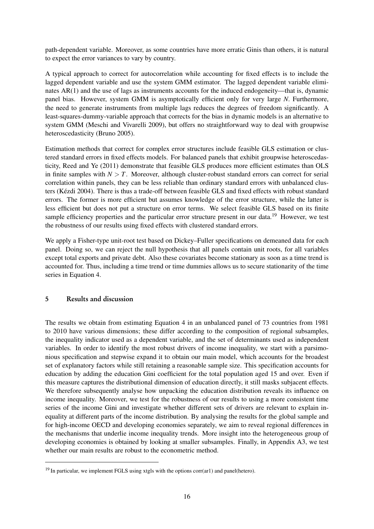path-dependent variable. Moreover, as some countries have more erratic Ginis than others, it is natural to expect the error variances to vary by country.

A typical approach to correct for autocorrelation while accounting for fixed effects is to include the lagged dependent variable and use the system GMM estimator. The lagged dependent variable eliminates AR(1) and the use of lags as instruments accounts for the induced endogeneity—that is, dynamic panel bias. However, system GMM is asymptotically efficient only for very large *N*. Furthermore, the need to generate instruments from multiple lags reduces the degrees of freedom significantly. A least-squares-dummy-variable approach that corrects for the bias in dynamic models is an alternative to system GMM [\(Meschi and Vivarelli](#page-36-1) [2009\)](#page-36-1), but offers no straightforward way to deal with groupwise heteroscedasticity [\(Bruno](#page-34-17) [2005\)](#page-34-17).

Estimation methods that correct for complex error structures include feasible GLS estimation or clustered standard errors in fixed effects models. For balanced panels that exhibit groupwise heteroscedasticity, [Reed and Ye](#page-37-16) [\(2011\)](#page-37-16) demonstrate that feasible GLS produces more efficient estimates than OLS in finite samples with  $N > T$ . Moreover, although cluster-robust standard errors can correct for serial correlation within panels, they can be less reliable than ordinary standard errors with unbalanced clusters [\(Kézdi](#page-36-18) [2004\)](#page-36-18). There is thus a trade-off between feasible GLS and fixed effects with robust standard errors. The former is more efficient but assumes knowledge of the error structure, while the latter is less efficient but does not put a structure on error terms. We select feasible GLS based on its finite sample efficiency properties and the particular error structure present in our data.<sup>[19](#page-2-0)</sup> However, we test the robustness of our results using fixed effects with clustered standard errors.

We apply a Fisher-type unit-root test based on Dickey–Fuller specifications on demeaned data for each panel. Doing so, we can reject the null hypothesis that all panels contain unit roots, for all variables except total exports and private debt. Also these covariates become stationary as soon as a time trend is accounted for. Thus, including a time trend or time dummies allows us to secure stationarity of the time series in Equation [4.](#page-16-1)

## <span id="page-17-0"></span>5 Results and discussion

The results we obtain from estimating Equation [4](#page-16-1) in an unbalanced panel of 73 countries from 1981 to 2010 have various dimensions; these differ according to the composition of regional subsamples, the inequality indicator used as a dependent variable, and the set of determinants used as independent variables. In order to identify the most robust drivers of income inequality, we start with a parsimonious specification and stepwise expand it to obtain our main model, which accounts for the broadest set of explanatory factors while still retaining a reasonable sample size. This specification accounts for education by adding the education Gini coefficient for the total population aged 15 and over. Even if this measure captures the distributional dimension of education directly, it still masks subjacent effects. We therefore subsequently analyse how unpacking the education distribution reveals its influence on income inequality. Moreover, we test for the robustness of our results to using a more consistent time series of the income Gini and investigate whether different sets of drivers are relevant to explain inequality at different parts of the income distribution. By analysing the results for the global sample and for high-income OECD and developing economies separately, we aim to reveal regional differences in the mechanisms that underlie income inequality trends. More insight into the heterogeneous group of developing economies is obtained by looking at smaller subsamples. Finally, in Appendix [A3,](#page-8-0) we test whether our main results are robust to the econometric method.

<sup>&</sup>lt;sup>19</sup> In particular, we implement FGLS using xtgls with the options corr(ar1) and panel(hetero).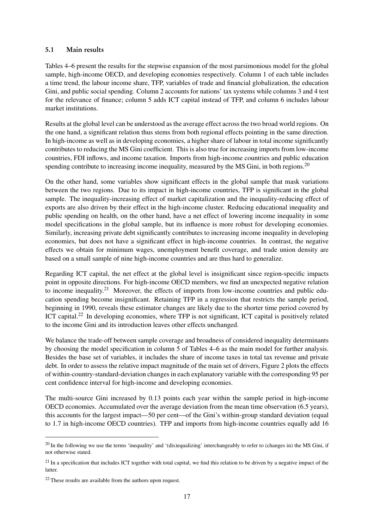## 5.1 Main results

Tables [4](#page-20-0)[–6](#page-22-0) present the results for the stepwise expansion of the most parsimonious model for the global sample, high-income OECD, and developing economies respectively. Column 1 of each table includes a time trend, the labour income share, TFP, variables of trade and financial globalization, the education Gini, and public social spending. Column 2 accounts for nations' tax systems while columns 3 and 4 test for the relevance of finance; column 5 adds ICT capital instead of TFP, and column 6 includes labour market institutions.

Results at the global level can be understood as the average effect across the two broad world regions. On the one hand, a significant relation thus stems from both regional effects pointing in the same direction. In high-income as well as in developing economies, a higher share of labour in total income significantly contributes to reducing the MS Gini coefficient. This is also true for increasing imports from low-income countries, FDI inflows, and income taxation. Imports from high-income countries and public education spending contribute to increasing income inequality, measured by the MS Gini, in both regions.<sup>[20](#page-2-0)</sup>

On the other hand, some variables show significant effects in the global sample that mask variations between the two regions. Due to its impact in high-income countries, TFP is significant in the global sample. The inequality-increasing effect of market capitalization and the inequality-reducing effect of exports are also driven by their effect in the high-income cluster. Reducing educational inequality and public spending on health, on the other hand, have a net effect of lowering income inequality in some model specifications in the global sample, but its influence is more robust for developing economies. Similarly, increasing private debt significantly contributes to increasing income inequality in developing economies, but does not have a significant effect in high-income countries. In contrast, the negative effects we obtain for minimum wages, unemployment benefit coverage, and trade union density are based on a small sample of nine high-income countries and are thus hard to generalize.

Regarding ICT capital, the net effect at the global level is insignificant since region-specific impacts point in opposite directions. For high-income OECD members, we find an unexpected negative relation to income inequality.[21](#page-2-0) Moreover, the effects of imports from low-income countries and public education spending become insignificant. Retaining TFP in a regression that restricts the sample period, beginning in 1990, reveals these estimator changes are likely due to the shorter time period covered by ICT capital.<sup>[22](#page-2-0)</sup> In developing economies, where TFP is not significant, ICT capital is positively related to the income Gini and its introduction leaves other effects unchanged.

We balance the trade-off between sample coverage and broadness of considered inequality determinants by choosing the model specification in column 5 of Tables [4–](#page-20-0)[6](#page-22-0) as the main model for further analysis. Besides the base set of variables, it includes the share of income taxes in total tax revenue and private debt. In order to assess the relative impact magnitude of the main set of drivers, Figure [2](#page-19-0) plots the effects of within-country-standard-deviation changes in each explanatory variable with the corresponding 95 per cent confidence interval for high-income and developing economies.

The multi-source Gini increased by 0.13 points each year within the sample period in high-income OECD economies. Accumulated over the average deviation from the mean time observation (6.5 years), this accounts for the largest impact—50 per cent—of the Gini's within-group standard deviation (equal to 1.7 in high-income OECD countries). TFP and imports from high-income countries equally add 16

 $20$  In the following we use the terms 'inequality' and '(dis)equalizing' interchangeably to refer to (changes in) the MS Gini, if not otherwise stated.

 $21$  In a specification that includes ICT together with total capital, we find this relation to be driven by a negative impact of the latter.

<sup>22</sup> These results are available from the authors upon request.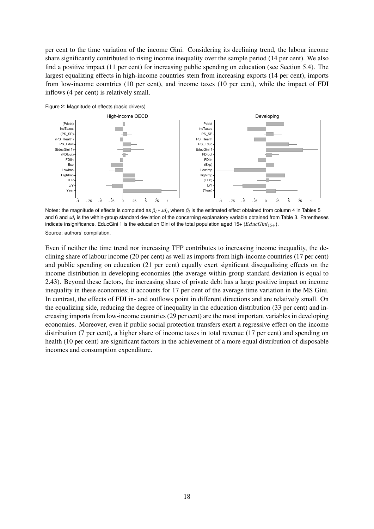per cent to the time variation of the income Gini. Considering its declining trend, the labour income share significantly contributed to rising income inequality over the sample period (14 per cent). We also find a positive impact (11 per cent) for increasing public spending on education (see Section [5.4\)](#page-26-0). The largest equalizing effects in high-income countries stem from increasing exports (14 per cent), imports from low-income countries (10 per cent), and income taxes (10 per cent), while the impact of FDI inflows (4 per cent) is relatively small.

<span id="page-19-0"></span>

Notes: the magnitude of effects is computed as *β<sup>i</sup>* ∗ *sd<sup>i</sup>* , where *βi* is the estimated effect obtained from column 4 in Tables [5](#page-21-0) and [6](#page-22-0) and *sd<sub>i</sub>* is the within-group standard deviation of the concerning explanatory variable obtained from Table [3.](#page-15-0) Parentheses indicate insignificance. EducGini 1 is the education Gini of the total population aged  $15+(EducGini<sub>15+</sub>)$ . Source: authors' compilation.

-1 -.75 -.5 -.25 0 .25 .5 .75 1

-1 -.75 -.5 -.25 0 .25 .5 .75 1

Even if neither the time trend nor increasing TFP contributes to increasing income inequality, the declining share of labour income (20 per cent) as well as imports from high-income countries (17 per cent) and public spending on education (21 per cent) equally exert significant disequalizing effects on the income distribution in developing economies (the average within-group standard deviation is equal to 2.43). Beyond these factors, the increasing share of private debt has a large positive impact on income inequality in these economies; it accounts for 17 per cent of the average time variation in the MS Gini. In contrast, the effects of FDI in- and outflows point in different directions and are relatively small. On the equalizing side, reducing the degree of inequality in the education distribution (33 per cent) and increasing imports from low-income countries (29 per cent) are the most important variables in developing economies. Moreover, even if public social protection transfers exert a regressive effect on the income distribution (7 per cent), a higher share of income taxes in total revenue (17 per cent) and spending on health (10 per cent) are significant factors in the achievement of a more equal distribution of disposable incomes and consumption expenditure.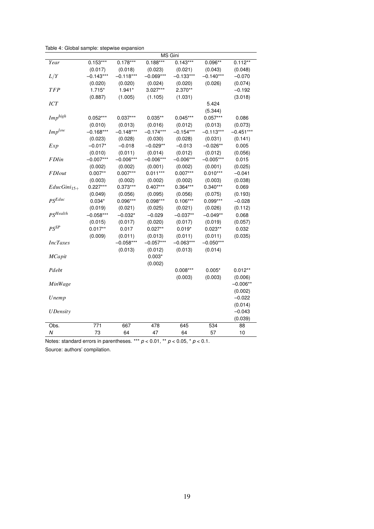<span id="page-20-0"></span>Table 4: Global sample: stepwise expansion

|                      |             |             |             | MS Gini     |             |             |
|----------------------|-------------|-------------|-------------|-------------|-------------|-------------|
| Year                 | $0.153***$  | $0.178***$  | $0.188***$  | $0.143***$  | $0.096**$   | $0.112**$   |
|                      | (0.017)     | (0.018)     | (0.023)     | (0.021)     | (0.043)     | (0.048)     |
| L/Y                  | $-0.143***$ | $-0.118***$ | $-0.069***$ | $-0.133***$ | $-0.140***$ | $-0.070$    |
|                      | (0.020)     | (0.020)     | (0.024)     | (0.020)     | (0.026)     | (0.074)     |
| <b>TFP</b>           | $1.715*$    | $1.941*$    | 3.027***    | 2.370**     |             | $-0.192$    |
|                      | (0.887)     | (1.005)     | (1.105)     | (1.031)     |             | (3.018)     |
| ICT                  |             |             |             |             | 5.424       |             |
|                      |             |             |             |             | (5.344)     |             |
| $Imp^{high}$         | $0.052***$  | $0.037***$  | $0.035**$   | $0.045***$  | $0.057***$  | 0.086       |
|                      | (0.010)     | (0.013)     | (0.016)     | (0.012)     | (0.013)     | (0.073)     |
| $Imp^{low}$          | $-0.168***$ | $-0.148***$ | $-0.174***$ | $-0.154***$ | $-0.113***$ | $-0.451***$ |
|                      | (0.023)     | (0.028)     | (0.030)     | (0.028)     | (0.031)     | (0.141)     |
| Exp                  | $-0.017*$   | $-0.018$    | $-0.029**$  | $-0.013$    | $-0.026**$  | 0.005       |
|                      | (0.010)     | (0.011)     | (0.014)     | (0.012)     | (0.012)     | (0.056)     |
| <b>FDI</b> in        | $-0.007***$ | $-0.006***$ | $-0.006***$ | $-0.006***$ | $-0.005***$ | 0.015       |
|                      | (0.002)     | (0.002)     | (0.001)     | (0.002)     | (0.001)     | (0.025)     |
| <b>FDIout</b>        | $0.007**$   | $0.007***$  | $0.011***$  | $0.007***$  | $0.010***$  | $-0.041$    |
|                      | (0.003)     | (0.002)     | (0.002)     | (0.002)     | (0.003)     | (0.038)     |
| $EducGini_{15+}$     | $0.227***$  | 0.373***    | $0.407***$  | 0.364***    | $0.340***$  | 0.069       |
|                      | (0.049)     | (0.056)     | (0.095)     | (0.056)     | (0.075)     | (0.193)     |
| $PS^{Educ}$          | $0.034*$    | 0.096***    | $0.098***$  | $0.106***$  | 0.099***    | $-0.028$    |
|                      | (0.019)     | (0.021)     | (0.025)     | (0.021)     | (0.026)     | (0.112)     |
| PS <sup>Health</sup> | $-0.058***$ | $-0.032*$   | $-0.029$    | $-0.037**$  | $-0.049**$  | 0.068       |
|                      | (0.015)     | (0.017)     | (0.020)     | (0.017)     | (0.019)     | (0.057)     |
| $PS^{SP}$            | $0.017**$   | 0.017       | $0.027**$   | $0.019*$    | $0.023**$   | 0.032       |
|                      | (0.009)     | (0.011)     | (0.013)     | (0.011)     | (0.011)     | (0.035)     |
| <b>IncTaxes</b>      |             | $-0.058***$ | $-0.057***$ | $-0.063***$ | $-0.050***$ |             |
|                      |             | (0.013)     | (0.012)     | (0.013)     | (0.014)     |             |
| <b>MCapit</b>        |             |             | $0.003*$    |             |             |             |
|                      |             |             | (0.002)     |             |             |             |
| Pdebt                |             |             |             | $0.008***$  | $0.005*$    | $0.012**$   |
|                      |             |             |             | (0.003)     | (0.003)     | (0.006)     |
| MinWage              |             |             |             |             |             | $-0.006**$  |
|                      |             |             |             |             |             | (0.002)     |
| Unemp                |             |             |             |             |             | $-0.022$    |
|                      |             |             |             |             |             | (0.014)     |
| <b>UDensity</b>      |             |             |             |             |             | $-0.043$    |
|                      |             |             |             |             |             | (0.039)     |
| Obs.                 | 771         | 667         | 478         | 645         | 534         | 88          |
| Ν                    | 73          | 64          | 47          | 64          | 57          | 10          |

Notes: standard errors in parentheses. \*\*\* *p* < 0.01, \*\* *p* < 0.05, \* *p* < 0.1.

Source: authors' compilation.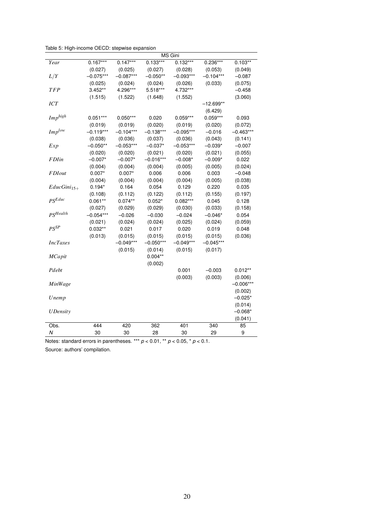<span id="page-21-0"></span>Table 5: High-income OECD: stepwise expansion

|                      |             |             |             | MS Gini     |             |             |
|----------------------|-------------|-------------|-------------|-------------|-------------|-------------|
| Year                 | $0.167***$  | $0.147***$  | $0.133***$  | $0.132***$  | $0.236***$  | $0.103**$   |
|                      | (0.027)     | (0.025)     | (0.027)     | (0.028)     | (0.053)     | (0.049)     |
| L/Y                  | $-0.075***$ | $-0.087***$ | $-0.050**$  | $-0.093***$ | $-0.104***$ | $-0.087$    |
|                      | (0.025)     | (0.024)     | (0.024)     | (0.026)     | (0.033)     | (0.075)     |
| <b>TFP</b>           | $3.452**$   | 4.296***    | 5.518***    | 4.732***    |             | $-0.458$    |
|                      | (1.515)     | (1.522)     | (1.648)     | (1.552)     |             | (3.060)     |
| <b>ICT</b>           |             |             |             |             | –12.699**   |             |
|                      |             |             |             |             | (6.429)     |             |
| $Imp^{high}$         | $0.051***$  | $0.050***$  | 0.020       | $0.059***$  | $0.059***$  | 0.093       |
|                      | (0.019)     | (0.019)     | (0.020)     | (0.019)     | (0.020)     | (0.072)     |
| $Imp^{low}$          | $-0.119***$ | $-0.104***$ | $-0.138***$ | $-0.095***$ | $-0.016$    | $-0.463***$ |
|                      | (0.038)     | (0.036)     | (0.037)     | (0.036)     | (0.043)     | (0.141)     |
| Exp                  | $-0.050**$  | $-0.053***$ | $-0.037*$   | $-0.053***$ | $-0.039*$   | $-0.007$    |
|                      | (0.020)     | (0.020)     | (0.021)     | (0.020)     | (0.021)     | (0.055)     |
| <b>FDI</b> in        | $-0.007*$   | $-0.007*$   | $-0.016***$ | $-0.008*$   | $-0.009*$   | 0.022       |
|                      | (0.004)     | (0.004)     | (0.004)     | (0.005)     | (0.005)     | (0.024)     |
| <b>FDIout</b>        | $0.007*$    | $0.007*$    | 0.006       | 0.006       | 0.003       | $-0.048$    |
|                      | (0.004)     | (0.004)     | (0.004)     | (0.004)     | (0.005)     | (0.038)     |
| $EducGini15+$        | $0.194*$    | 0.164       | 0.054       | 0.129       | 0.220       | 0.035       |
|                      | (0.108)     | (0.112)     | (0.122)     | (0.112)     | (0.155)     | (0.197)     |
| $PS^{Educ}$          | $0.061**$   | $0.074**$   | $0.052*$    | $0.082***$  | 0.045       | 0.128       |
|                      | (0.027)     | (0.029)     | (0.029)     | (0.030)     | (0.033)     | (0.158)     |
| PS <sup>Health</sup> | $-0.054***$ | $-0.026$    | $-0.030$    | $-0.024$    | $-0.046*$   | 0.054       |
|                      | (0.021)     | (0.024)     | (0.024)     | (0.025)     | (0.024)     | (0.059)     |
| $PS^{SP}$            | $0.032**$   | 0.021       | 0.017       | 0.020       | 0.019       | 0.048       |
|                      | (0.013)     | (0.015)     | (0.015)     | (0.015)     | (0.015)     | (0.036)     |
| <b>IncTaxes</b>      |             | $-0.049***$ | $-0.050***$ | $-0.049***$ | $-0.045***$ |             |
|                      |             | (0.015)     | (0.014)     | (0.015)     | (0.017)     |             |
| MCapit               |             |             | $0.004**$   |             |             |             |
|                      |             |             | (0.002)     |             |             |             |
| Pdebt                |             |             |             | 0.001       | $-0.003$    | $0.012**$   |
|                      |             |             |             | (0.003)     | (0.003)     | (0.006)     |
| MinWage              |             |             |             |             |             | $-0.006***$ |
|                      |             |             |             |             |             | (0.002)     |
| Unemp                |             |             |             |             |             | $-0.025*$   |
|                      |             |             |             |             |             | (0.014)     |
| <b>UDensity</b>      |             |             |             |             |             | $-0.068*$   |
|                      |             |             |             |             |             | (0.041)     |
| Obs.                 | 444         | 420         | 362         | 401         | 340         | 85          |
| Ν                    | 30          | 30          | 28          | 30          | 29          | 9           |

Notes: standard errors in parentheses. \*\*\* *p* < 0.01, \*\* *p* < 0.05, \* *p* < 0.1.

Source: authors' compilation.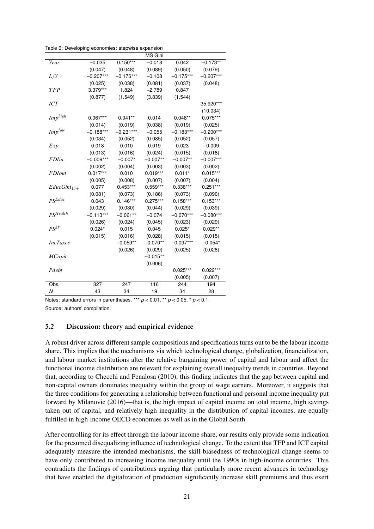<span id="page-22-0"></span>Table 6: Developing economies: stepwise expansion

|                      |             |             | <b>MS Gini</b> |             |             |
|----------------------|-------------|-------------|----------------|-------------|-------------|
| Year                 | $-0.035$    | $0.150***$  | $-0.018$       | 0.042       | $-0.173**$  |
|                      | (0.047)     | (0.048)     | (0.089)        | (0.050)     | (0.079)     |
| L/Y                  | $-0.207***$ | $-0.176***$ | $-0.108$       | $-0.175***$ | $-0.207***$ |
|                      | (0.025)     | (0.038)     | (0.081)        | (0.037)     | (0.048)     |
| <b>TFP</b>           | 3.379***    | 1.824       | $-2.789$       | 0.847       |             |
|                      | (0.877)     | (1.549)     | (3.839)        | (1.544)     |             |
| ICT                  |             |             |                |             | 35.920***   |
|                      |             |             |                |             | (10.034)    |
| $Imp^{high}$         | $0.067***$  | $0.041**$   | 0.014          | $0.048**$   | $0.075***$  |
|                      | (0.014)     | (0.019)     | (0.038)        | (0.019)     | (0.025)     |
| $Imp^{low}$          | $-0.188***$ | $-0.231***$ | $-0.055$       | $-0.183***$ | $-0.200***$ |
|                      | (0.034)     | (0.052)     | (0.085)        | (0.052)     | (0.057)     |
| Exp                  | 0.018       | 0.010       | 0.019          | 0.023       | $-0.009$    |
|                      | (0.013)     | (0.016)     | (0.024)        | (0.015)     | (0.018)     |
| <b>FDI</b> in        | $-0.009***$ | $-0.007*$   | $-0.007**$     | $-0.007**$  | $-0.007***$ |
|                      | (0.002)     | (0.004)     | (0.003)        | (0.003)     | (0.002)     |
| <b>FDI</b> out       | $0.017***$  | 0.010       | $0.019***$     | $0.011*$    | $0.015***$  |
|                      | (0.005)     | (0.008)     | (0.007)        | (0.007)     | (0.004)     |
| $EducGini_{15+}$     | 0.077       | $0.453***$  | $0.559***$     | 0.338***    | $0.251***$  |
|                      | (0.081)     | (0.073)     | (0.186)        | (0.073)     | (0.090)     |
| $PSE$ duc            | 0.043       | $0.146***$  | $0.275***$     | $0.158***$  | $0.153***$  |
|                      | (0.029)     | (0.030)     | (0.044)        | (0.029)     | (0.039)     |
| PS <sup>Health</sup> | $-0.113***$ | $-0.061**$  | $-0.074$       | $-0.070***$ | $-0.080***$ |
|                      | (0.026)     | (0.024)     | (0.045)        | (0.023)     | (0.029)     |
| $PS^{SP}$            | $0.024*$    | 0.015       | 0.045          | $0.025*$    | $0.029**$   |
|                      | (0.015)     | (0.016)     | (0.028)        | (0.015)     | (0.015)     |
| <b>IncTaxes</b>      |             | $-0.059**$  | $-0.070**$     | $-0.097***$ | $-0.054*$   |
|                      |             | (0.026)     | (0.029)        | (0.025)     | (0.028)     |
| MCapit               |             |             | $-0.015**$     |             |             |
|                      |             |             | (0.006)        |             |             |
| Pdebt                |             |             |                | $0.025***$  | $0.022***$  |
|                      |             |             |                | (0.005)     | (0.007)     |
| Obs.                 | 327         | 247         | 116            | 244         | 194         |
| Ν                    | 43          | 34          | 19             | 34          | 28          |

Notes: standard errors in parentheses. \*\*\* *p* < 0.01, \*\* *p* < 0.05, \* *p* < 0.1. Source: authors' compilation.

## 5.2 Discussion: theory and empirical evidence

A robust driver across different sample compositions and specifications turns out to be the labour income share. This implies that the mechanisms via which technological change, globalization, financialization, and labour market institutions alter the relative bargaining power of capital and labour and affect the functional income distribution are relevant for explaining overall inequality trends in countries. Beyond that, according to [Checchi and Penalosa](#page-34-0) [\(2010\)](#page-34-0), this finding indicates that the gap between capital and non-capital owners dominates inequality within the group of wage earners. Moreover, it suggests that the three conditions for generating a relationship between functional and personal income inequality put forward by [Milanovic](#page-36-12) [\(2016\)](#page-36-12)—that is, the high impact of capital income on total income, high savings taken out of capital, and relatively high inequality in the distribution of capital incomes, are equally fulfilled in high-income OECD economies as well as in the Global South.

After controlling for its effect through the labour income share, our results only provide some indication for the presumed disequalizing influence of technological change. To the extent that TFP and ICT capital adequately measure the intended mechanisms, the skill-biasedness of technological change seems to have only contributed to increasing income inequality until the 1990s in high-income countries. This contradicts the findings of contributions arguing that particularly more recent advances in technology that have enabled the digitalization of production significantly increase skill premiums and thus exert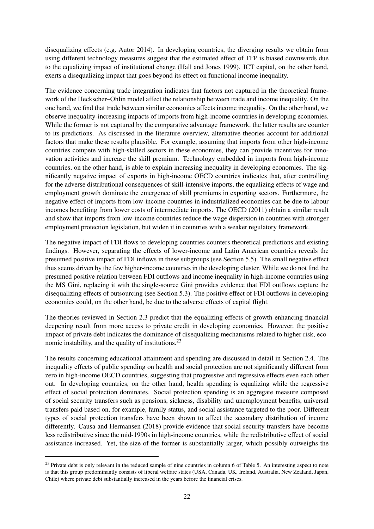disequalizing effects (e.g. [Autor](#page-33-8) [2014\)](#page-33-8). In developing countries, the diverging results we obtain from using different technology measures suggest that the estimated effect of TFP is biased downwards due to the equalizing impact of institutional change [\(Hall and Jones](#page-35-14) [1999\)](#page-35-14). ICT capital, on the other hand, exerts a disequalizing impact that goes beyond its effect on functional income inequality.

The evidence concerning trade integration indicates that factors not captured in the theoretical framework of the Heckscher–Ohlin model affect the relationship between trade and income inequality. On the one hand, we find that trade between similar economies affects income inequality. On the other hand, we observe inequality-increasing impacts of imports from high-income countries in developing economies. While the former is not captured by the comparative advantage framework, the latter results are counter to its predictions. As discussed in the literature overview, alternative theories account for additional factors that make these results plausible. For example, assuming that imports from other high-income countries compete with high-skilled sectors in these economies, they can provide incentives for innovation activities and increase the skill premium. Technology embedded in imports from high-income countries, on the other hand, is able to explain increasing inequality in developing economies. The significantly negative impact of exports in high-income OECD countries indicates that, after controlling for the adverse distributional consequences of skill-intensive imports, the equalizing effects of wage and employment growth dominate the emergence of skill premiums in exporting sectors. Furthermore, the negative effect of imports from low-income countries in industrialized economies can be due to labour incomes benefiting from lower costs of intermediate imports. The [OECD](#page-37-0) [\(2011\)](#page-37-0) obtain a similar result and show that imports from low-income countries reduce the wage dispersion in countries with stronger employment protection legislation, but widen it in countries with a weaker regulatory framework.

The negative impact of FDI flows to developing countries counters theoretical predictions and existing findings. However, separating the effects of lower-income and Latin American countries reveals the presumed positive impact of FDI inflows in these subgroups (see Section [5.5\)](#page-29-0). The small negative effect thus seems driven by the few higher-income countries in the developing cluster. While we do not find the presumed positive relation between FDI outflows and income inequality in high-income countries using the MS Gini, replacing it with the single-source Gini provides evidence that FDI outflows capture the disequalizing effects of outsourcing (see Section [5.3\)](#page-24-0). The positive effect of FDI outflows in developing economies could, on the other hand, be due to the adverse effects of capital flight.

The theories reviewed in Section [2.3](#page-5-0) predict that the equalizing effects of growth-enhancing financial deepening result from more access to private credit in developing economies. However, the positive impact of private debt indicates the dominance of disequalizing mechanisms related to higher risk, eco-nomic instability, and the quality of institutions.<sup>[23](#page-2-0)</sup>

The results concerning educational attainment and spending are discussed in detail in Section [2.4.](#page-6-0) The inequality effects of public spending on health and social protection are not significantly different from zero in high-income OECD countries, suggesting that progressive and regressive effects even each other out. In developing countries, on the other hand, health spending is equalizing while the regressive effect of social protection dominates. Social protection spending is an aggregate measure composed of social security transfers such as pensions, sickness, disability and unemployment benefits, universal transfers paid based on, for example, family status, and social assistance targeted to the poor. Different types of social protection transfers have been shown to affect the secondary distribution of income differently. [Causa and Hermansen](#page-34-11) [\(2018\)](#page-34-11) provide evidence that social security transfers have become less redistributive since the mid-1990s in high-income countries, while the redistributive effect of social assistance increased. Yet, the size of the former is substantially larger, which possibly outweighs the

<sup>&</sup>lt;sup>23</sup> Private debt is only relevant in the reduced sample of nine countries in column 6 of Table [5.](#page-21-0) An interesting aspect to note is that this group predominantly consists of liberal welfare states (USA, Canada, UK, Ireland, Australia, New Zealand, Japan, Chile) where private debt substantially increased in the years before the financial crises.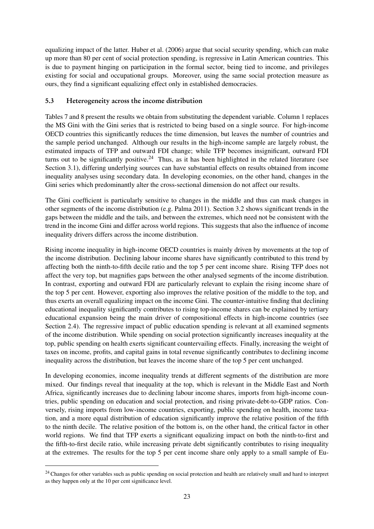equalizing impact of the latter. [Huber et al.](#page-35-2) [\(2006\)](#page-35-2) argue that social security spending, which can make up more than 80 per cent of social protection spending, is regressive in Latin American countries. This is due to payment hinging on participation in the formal sector, being tied to income, and privileges existing for social and occupational groups. Moreover, using the same social protection measure as ours, they find a significant equalizing effect only in established democracies.

## <span id="page-24-0"></span>5.3 Heterogeneity across the income distribution

Tables [7](#page-25-0) and [8](#page-26-1) present the results we obtain from substituting the dependent variable. Column 1 replaces the MS Gini with the Gini series that is restricted to being based on a single source. For high-income OECD countries this significantly reduces the time dimension, but leaves the number of countries and the sample period unchanged. Although our results in the high-income sample are largely robust, the estimated impacts of TFP and outward FDI change; while TFP becomes insignificant, outward FDI turns out to be significantly positive.<sup>[24](#page-2-0)</sup> Thus, as it has been highlighted in the related literature (see Section [3.1\)](#page-9-0), differing underlying sources can have substantial effects on results obtained from income inequality analyses using secondary data. In developing economies, on the other hand, changes in the Gini series which predominantly alter the cross-sectional dimension do not affect our results.

The Gini coefficient is particularly sensitive to changes in the middle and thus can mask changes in other segments of the income distribution (e.g. [Palma](#page-37-4) [2011\)](#page-37-4). Section [3.2](#page-10-1) shows significant trends in the gaps between the middle and the tails, and between the extremes, which need not be consistent with the trend in the income Gini and differ across world regions. This suggests that also the influence of income inequality drivers differs across the income distribution.

Rising income inequality in high-income OECD countries is mainly driven by movements at the top of the income distribution. Declining labour income shares have significantly contributed to this trend by affecting both the ninth-to-fifth decile ratio and the top 5 per cent income share. Rising TFP does not affect the very top, but magnifies gaps between the other analysed segments of the income distribution. In contrast, exporting and outward FDI are particularly relevant to explain the rising income share of the top 5 per cent. However, exporting also improves the relative position of the middle to the top, and thus exerts an overall equalizing impact on the income Gini. The counter-intuitive finding that declining educational inequality significantly contributes to rising top-income shares can be explained by tertiary educational expansion being the main driver of compositional effects in high-income countries (see Section [2.4\)](#page-6-0). The regressive impact of public education spending is relevant at all examined segments of the income distribution. While spending on social protection significantly increases inequality at the top, public spending on health exerts significant countervailing effects. Finally, increasing the weight of taxes on income, profits, and capital gains in total revenue significantly contributes to declining income inequality across the distribution, but leaves the income share of the top 5 per cent unchanged.

In developing economies, income inequality trends at different segments of the distribution are more mixed. Our findings reveal that inequality at the top, which is relevant in the Middle East and North Africa, significantly increases due to declining labour income shares, imports from high-income countries, public spending on education and social protection, and rising private-debt-to-GDP ratios. Conversely, rising imports from low-income countries, exporting, public spending on health, income taxation, and a more equal distribution of education significantly improve the relative position of the fifth to the ninth decile. The relative position of the bottom is, on the other hand, the critical factor in other world regions. We find that TFP exerts a significant equalizing impact on both the ninth-to-first and the fifth-to-first decile ratio, while increasing private debt significantly contributes to rising inequality at the extremes. The results for the top 5 per cent income share only apply to a small sample of Eu-

<sup>&</sup>lt;sup>24</sup> Changes for other variables such as public spending on social protection and health are relatively small and hard to interpret as they happen only at the 10 per cent significance level.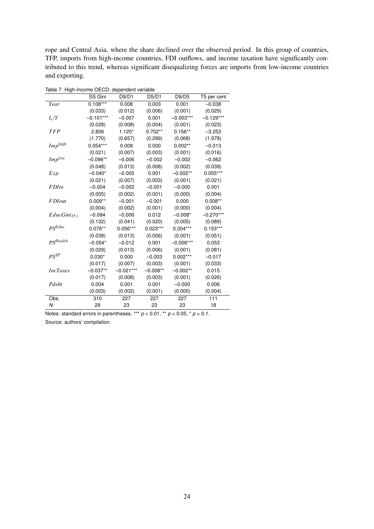rope and Central Asia, where the share declined over the observed period. In this group of countries, TFP, imports from high-income countries, FDI outflows, and income taxation have significantly contributed to this trend, whereas significant disequalizing forces are imports from low-income countries and exporting.

| rable 7. High-income OECD, dependent variable |             |             |            |             |             |  |  |  |  |  |
|-----------------------------------------------|-------------|-------------|------------|-------------|-------------|--|--|--|--|--|
|                                               | SS Gini     | D9/D1       | D5/D1      | D9/D5       | T5 per cent |  |  |  |  |  |
| Year                                          | $0.108***$  | 0.008       | 0.003      | 0.001       | $-0.038$    |  |  |  |  |  |
|                                               | (0.033)     | (0.012)     | (0.006)    | (0.001)     | (0.029)     |  |  |  |  |  |
| L/Y                                           | $-0.101***$ | $-0.007$    | 0.001      | $-0.003***$ | $-0.129***$ |  |  |  |  |  |
|                                               | (0.028)     | (0.008)     | (0.004)    | (0.001)     | (0.023)     |  |  |  |  |  |
| <b>TFP</b>                                    | 2.806       | $1.125*$    | $0.702**$  | $0.156**$   | $-3.253$    |  |  |  |  |  |
|                                               | (1.770)     | (0.657)     | (0.299)    | (0.068)     | (1.978)     |  |  |  |  |  |
| $Imp^{high}$                                  | $0.054***$  | 0.008       | 0.000      | $0.002**$   | $-0.013$    |  |  |  |  |  |
|                                               | (0.021)     | (0.007)     | (0.003)    | (0.001)     | (0.016)     |  |  |  |  |  |
| $Imp^{low}$                                   | $-0.096**$  | $-0.006$    | $-0.002$   | $-0.002$    | $-0.062$    |  |  |  |  |  |
|                                               | (0.048)     | (0.013)     | (0.006)    | (0.002)     | (0.039)     |  |  |  |  |  |
| Exp                                           | $-0.040*$   | $-0.005$    | 0.001      | $-0.002**$  | $0.055***$  |  |  |  |  |  |
|                                               | (0.021)     | (0.007)     | (0.003)    | (0.001)     | (0.021)     |  |  |  |  |  |
| <b>FDI</b> in                                 | $-0.004$    | $-0.002$    | $-0.001$   | $-0.000$    | 0.001       |  |  |  |  |  |
|                                               | (0.005)     | (0.002)     | (0.001)    | (0.000)     | (0.004)     |  |  |  |  |  |
| <b>FDIout</b>                                 | $0.009**$   | $-0.001$    | $-0.001$   | 0.000       | $0.008**$   |  |  |  |  |  |
|                                               | (0.004)     | (0.002)     | (0.001)    | (0.000)     | (0.004)     |  |  |  |  |  |
| $EducGini_{15+}$                              | $-0.094$    | $-0.006$    | 0.012      | $-0.008*$   | $-0.270***$ |  |  |  |  |  |
|                                               | (0.132)     | (0.041)     | (0.020)    | (0.005)     | (0.089)     |  |  |  |  |  |
| $PS^{Educ}$                                   | $0.076**$   | $0.056***$  | $0.023***$ | $0.004***$  | $0.153***$  |  |  |  |  |  |
|                                               | (0.038)     | (0.013)     | (0.006)    | (0.001)     | (0.051)     |  |  |  |  |  |
| $PS$ <i>Health</i>                            | $-0.054*$   | $-0.012$    | 0.001      | $-0.006***$ | 0.053       |  |  |  |  |  |
|                                               | (0.029)     | (0.013)     | (0.006)    | (0.001)     | (0.081)     |  |  |  |  |  |
| $PS^{SP}$                                     | $0.030*$    | 0.000       | $-0.003$   | $0.002***$  | $-0.017$    |  |  |  |  |  |
|                                               | (0.017)     | (0.007)     | (0.003)    | (0.001)     | (0.033)     |  |  |  |  |  |
| <b>IncTaxes</b>                               | $-0.037**$  | $-0.021***$ | $-0.008**$ | $-0.002**$  | 0.015       |  |  |  |  |  |
|                                               | (0.017)     | (0.008)     | (0.003)    | (0.001)     | (0.026)     |  |  |  |  |  |
| Pdebt                                         | 0.004       | 0.001       | 0.001      | $-0.000$    | 0.006       |  |  |  |  |  |
|                                               | (0.003)     | (0.002)     | (0.001)    | (0.000)     | (0.004)     |  |  |  |  |  |
| Obs.                                          | 310         | 227         | 227        | 227         | 111         |  |  |  |  |  |
| Ν                                             | 29          | 23          | 23         | 23          | 18          |  |  |  |  |  |
|                                               |             |             |            |             |             |  |  |  |  |  |

<span id="page-25-0"></span>Table 7: High-income OECD: dependent variable

Notes: standard errors in parentheses. \*\*\*  $p < 0.01$ , \*\*  $p < 0.05$ , \*  $p < 0.1$ .

Source: authors' compilation.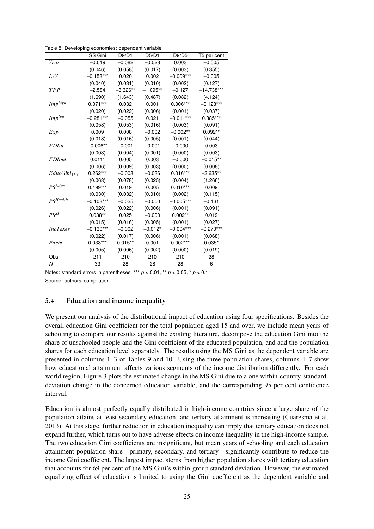<span id="page-26-1"></span>Table 8: Developing economies: dependent variable

|                      | SS Gini     | D9/D1      | D5/D1      | D9/D5       | T5 per cent  |
|----------------------|-------------|------------|------------|-------------|--------------|
| Year                 | $-0.019$    | $-0.082$   | $-0.028$   | 0.003       | $-0.505$     |
|                      | (0.046)     | (0.058)    | (0.017)    | (0.003)     | (0.355)      |
| L/Y                  | $-0.153***$ | 0.020      | 0.002      | $-0.009***$ | $-0.005$     |
|                      | (0.040)     | (0.031)    | (0.010)    | (0.002)     | (0.127)      |
| <b>TFP</b>           | $-2.584$    | $-3.326**$ | $-1.095**$ | $-0.127$    | $-14.738***$ |
|                      | (1.690)     | (1.643)    | (0.487)    | (0.082)     | (4.124)      |
| $Imp^{high}$         | $0.071***$  | 0.032      | 0.001      | $0.006***$  | $-0.123***$  |
|                      | (0.020)     | (0.022)    | (0.006)    | (0.001)     | (0.037)      |
| $Imp^{low}$          | $-0.281***$ | $-0.055$   | 0.021      | $-0.011***$ | 0.385***     |
|                      | (0.058)     | (0.053)    | (0.016)    | (0.003)     | (0.091)      |
| Exp                  | 0.009       | 0.008      | $-0.002$   | $-0.002**$  | $0.092**$    |
|                      | (0.018)     | (0.016)    | (0.005)    | (0.001)     | (0.044)      |
| <b>FDI</b> in        | $-0.006**$  | $-0.001$   | $-0.001$   | $-0.000$    | 0.003        |
|                      | (0.003)     | (0.004)    | (0.001)    | (0.000)     | (0.003)      |
| <b>FDIout</b>        | $0.011*$    | 0.005      | 0.003      | $-0.000$    | $-0.015**$   |
|                      | (0.006)     | (0.009)    | (0.003)    | (0.000)     | (0.008)      |
| $EducGini_{15+}$     | 0.262***    | $-0.003$   | $-0.036$   | $0.016***$  | $-2.635**$   |
|                      | (0.068)     | (0.078)    | (0.025)    | (0.004)     | (1.266)      |
| $PS^{Educ}$          | $0.199***$  | 0.019      | 0.005      | $0.010***$  | 0.009        |
|                      | (0.030)     | (0.032)    | (0.010)    | (0.002)     | (0.115)      |
| PS <sup>Health</sup> | $-0.103***$ | $-0.025$   | $-0.000$   | $-0.005***$ | $-0.131$     |
|                      | (0.026)     | (0.022)    | (0.006)    | (0.001)     | (0.091)      |
| $PS^{SP}$            | $0.038**$   | 0.025      | $-0.000$   | $0.002**$   | 0.019        |
|                      | (0.015)     | (0.016)    | (0.005)    | (0.001)     | (0.027)      |
| <b>IncTaxes</b>      | $-0.130***$ | $-0.002$   | $-0.012*$  | $-0.004***$ | $-0.270***$  |
|                      | (0.022)     | (0.017)    | (0.006)    | (0.001)     | (0.068)      |
| Pdebt                | $0.033***$  | $0.015**$  | 0.001      | $0.002***$  | $0.035*$     |
|                      | (0.005)     | (0.006)    | (0.002)    | (0.000)     | (0.019)      |
| Obs.                 | 211         | 210        | 210        | 210         | 28           |
| Ν                    | 33          | 28         | 28         | 28          | 6            |

Notes: standard errors in parentheses. \*\*\* *p* < 0.01, \*\* *p* < 0.05, \* *p* < 0.1. Source: authors' compilation.

#### <span id="page-26-0"></span>5.4 Education and income inequality

We present our analysis of the distributional impact of education using four specifications. Besides the overall education Gini coefficient for the total population aged 15 and over, we include mean years of schooling to compare our results against the existing literature, decompose the education Gini into the share of unschooled people and the Gini coefficient of the educated population, and add the population shares for each education level separately. The results using the MS Gini as the dependent variable are presented in columns 1–3 of Tables [9](#page-28-0) and [10.](#page-29-1) Using the three population shares, columns 4–7 show how educational attainment affects various segments of the income distribution differently. For each world region, Figure [3](#page-27-0) plots the estimated change in the MS Gini due to a one within-country-standarddeviation change in the concerned education variable, and the corresponding 95 per cent confidence interval.

Education is almost perfectly equally distributed in high-income countries since a large share of the population attains at least secondary education, and tertiary attainment is increasing [\(Cuaresma et al.](#page-35-12) [2013\)](#page-35-12). At this stage, further reduction in education inequality can imply that tertiary education does not expand further, which turns out to have adverse effects on income inequality in the high-income sample. The two education Gini coefficients are insignificant, but mean years of schooling and each education attainment population share—primary, secondary, and tertiary—significantly contribute to reduce the income Gini coefficient. The largest impact stems from higher population shares with tertiary education that accounts for 69 per cent of the MS Gini's within-group standard deviation. However, the estimated equalizing effect of education is limited to using the Gini coefficient as the dependent variable and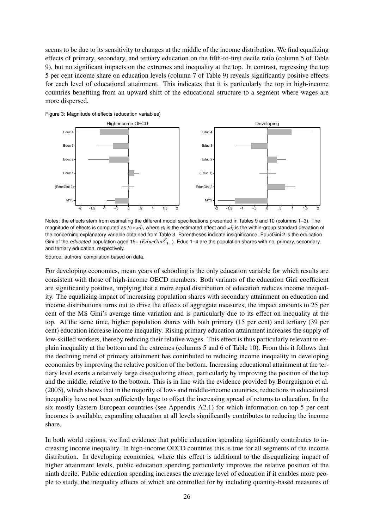seems to be due to its sensitivity to changes at the middle of the income distribution. We find equalizing effects of primary, secondary, and tertiary education on the fifth-to-first decile ratio (column 5 of Table [9\)](#page-28-0), but no significant impacts on the extremes and inequality at the top. In contrast, regressing the top 5 per cent income share on education levels (column 7 of Table [9\)](#page-28-0) reveals significantly positive effects for each level of educational attainment. This indicates that it is particularly the top in high-income countries benefiting from an upward shift of the educational structure to a segment where wages are more dispersed.

<span id="page-27-0"></span>Figure 3: Magnitude of effects (education variables)



Notes: the effects stem from estimating the different model specifications presented in Tables [9](#page-28-0) and [10](#page-29-1) (columns 1–3). The magnitude of effects is computed as  $β_i * sd_i$ , where  $β_i$  is the estimated effect and *sd<sub>i</sub>* is the within-group standard deviation of the concerning explanatory variable obtained from Table [3.](#page-15-0) Parentheses indicate insignificance. EducGini 2 is the education Gini of the *educated* population aged 15+ ( $EducGini_{15+}^E$ ). Educ 1–4 are the population shares with no, primary, secondary, and tertiary education, respectively.

Source: authors' compilation based on data.

For developing economies, mean years of schooling is the only education variable for which results are consistent with those of high-income OECD members. Both variants of the education Gini coefficient are significantly positive, implying that a more equal distribution of education reduces income inequality. The equalizing impact of increasing population shares with secondary attainment on education and income distributions turns out to drive the effects of aggregate measures; the impact amounts to 25 per cent of the MS Gini's average time variation and is particularly due to its effect on inequality at the top. At the same time, higher population shares with both primary (15 per cent) and tertiary (39 per cent) education increase income inequality. Rising primary education attainment increases the supply of low-skilled workers, thereby reducing their relative wages. This effect is thus particularly relevant to explain inequality at the bottom and the extremes (columns 5 and 6 of Table [10\)](#page-29-1). From this it follows that the declining trend of primary attainment has contributed to reducing income inequality in developing economies by improving the relative position of the bottom. Increasing educational attainment at the tertiary level exerts a relatively large disequalizing effect, particularly by improving the position of the top and the middle, relative to the bottom. This is in line with the evidence provided by [Bourguignon et al.](#page-34-8) [\(2005\)](#page-34-8), which shows that in the majority of low- and middle-income countries, reductions in educational inequality have not been sufficiently large to offset the increasing spread of returns to education. In the six mostly Eastern European countries (see Appendix [A2.1\)](#page-3-1) for which information on top 5 per cent incomes is available, expanding education at all levels significantly contributes to reducing the income share.

In both world regions, we find evidence that public education spending significantly contributes to increasing income inequality. In high-income OECD countries this is true for all segments of the income distribution. In developing economies, where this effect is additional to the disequalizing impact of higher attainment levels, public education spending particularly improves the relative position of the ninth decile. Public education spending increases the average level of education if it enables more people to study, the inequality effects of which are controlled for by including quantity-based measures of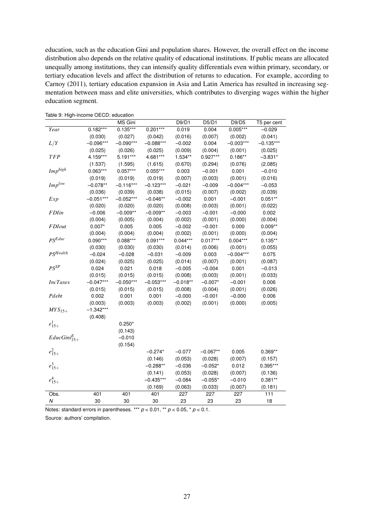education, such as the education Gini and population shares. However, the overall effect on the income distribution also depends on the relative quality of educational institutions. If public means are allocated unequally among institutions, they can intensify quality differentials even within primary, secondary, or tertiary education levels and affect the distribution of returns to education. For example, according to [Carnoy](#page-34-9) [\(2011\)](#page-34-9), tertiary education expansion in Asia and Latin America has resulted in increasing segmentation between mass and elite universities, which contributes to diverging wages within the higher education segment.

| rable 5. Fight income OLOD. cuttoation |             | MS Gini     |             | D9/D1      | D5/D1      | D9/D5       | T5 per cent |
|----------------------------------------|-------------|-------------|-------------|------------|------------|-------------|-------------|
| Year                                   | $0.182***$  | $0.135***$  | $0.201***$  | 0.019      | 0.004      | $0.005***$  | $-0.029$    |
|                                        | (0.030)     | (0.027)     | (0.042)     | (0.016)    | (0.007)    | (0.002)     | (0.041)     |
| L/Y                                    | $-0.096***$ | $-0.090***$ | $-0.088***$ | $-0.002$   | 0.004      | $-0.003***$ | $-0.135***$ |
|                                        | (0.025)     | (0.026)     | (0.025)     | (0.009)    | (0.004)    | (0.001)     | (0.025)     |
| <b>TFP</b>                             | 4.159***    | 5.191***    | 4.681***    | 1.534**    | $0.927***$ | $0.186**$   | $-3.831*$   |
|                                        | (1.537)     | (1.595)     | (1.615)     | (0.670)    | (0.294)    | (0.076)     | (2.085)     |
| $Imp^{high}$                           | $0.063***$  | $0.057***$  | $0.055***$  | 0.003      | $-0.001$   | 0.001       | $-0.010$    |
|                                        | (0.019)     | (0.019)     | (0.019)     | (0.007)    | (0.003)    | (0.001)     | (0.016)     |
| $Imp^{low}$                            | $-0.078**$  | $-0.116***$ | $-0.123***$ | $-0.021$   | $-0.009$   | $-0.004***$ | $-0.053$    |
|                                        | (0.036)     | (0.039)     | (0.038)     | (0.015)    | (0.007)    | (0.002)     | (0.039)     |
| Exp                                    | $-0.051***$ | $-0.052***$ | $-0.046**$  | $-0.002$   | 0.001      | $-0.001$    | $0.051**$   |
|                                        | (0.020)     | (0.020)     | (0.020)     | (0.008)    | (0.003)    | (0.001)     | (0.022)     |
| <b>FDI</b> in                          | $-0.006$    | $-0.009**$  | $-0.009**$  | $-0.003$   | $-0.001$   | $-0.000$    | 0.002       |
|                                        | (0.004)     | (0.005)     | (0.004)     | (0.002)    | (0.001)    | (0.000)     | (0.004)     |
| <b>FDIout</b>                          | $0.007*$    | 0.005       | 0.005       | $-0.002$   | $-0.001$   | 0.000       | $0.009**$   |
|                                        | (0.004)     | (0.004)     | (0.004)     | (0.002)    | (0.001)    | (0.000)     | (0.004)     |
| $PS^{Educ}$                            | $0.090***$  | $0.088***$  | $0.091***$  | $0.044***$ | $0.017***$ | $0.004***$  | $0.135***$  |
|                                        | (0.030)     | (0.030)     | (0.030)     | (0.014)    | (0.006)    | (0.001)     | (0.055)     |
| PSHealth                               | $-0.024$    | $-0.028$    | $-0.031$    | $-0.009$   | 0.003      | $-0.004***$ | 0.075       |
|                                        | (0.024)     | (0.025)     | (0.025)     | (0.014)    | (0.007)    | (0.001)     | (0.087)     |
| $PS^{SP}$                              | 0.024       | 0.021       | 0.018       | $-0.005$   | $-0.004$   | 0.001       | $-0.013$    |
|                                        | (0.015)     | (0.015)     | (0.015)     | (0.008)    | (0.003)    | (0.001)     | (0.033)     |
| <b>IncTaxes</b>                        | $-0.047***$ | $-0.050***$ | $-0.053***$ | $-0.018**$ | $-0.007*$  | $-0.001$    | 0.006       |
|                                        | (0.015)     | (0.015)     | (0.015)     | (0.008)    | (0.004)    | (0.001)     | (0.026)     |
| Pdebt                                  | 0.002       | 0.001       | 0.001       | $-0.000$   | $-0.001$   | $-0.000$    | 0.006       |
|                                        | (0.003)     | (0.003)     | (0.003)     | (0.002)    | (0.001)    | (0.000)     | (0.005)     |
| $MYS_{15+}$                            | $-1.342***$ |             |             |            |            |             |             |
|                                        | (0.408)     |             |             |            |            |             |             |
| $e_{15+}^1$                            |             | $0.250*$    |             |            |            |             |             |
|                                        |             | (0.143)     |             |            |            |             |             |
| $EducGini_{15+}^{E}$                   |             | $-0.010$    |             |            |            |             |             |
|                                        |             | (0.154)     |             |            |            |             |             |
| $e_{15+}^2$                            |             |             | $-0.274*$   | $-0.077$   | $-0.067**$ | 0.005       | $0.369**$   |
|                                        |             |             | (0.146)     | (0.053)    | (0.028)    | (0.007)     | (0.157)     |
| $e_{15+}^3$                            |             |             | $-0.288**$  | $-0.036$   | $-0.052*$  | 0.012       | $0.395***$  |
|                                        |             |             | (0.141)     | (0.053)    | (0.028)    | (0.007)     | (0.136)     |
| $e_{15+}^4$                            |             |             | $-0.435***$ | $-0.084$   | $-0.055*$  | $-0.010$    | $0.381**$   |
|                                        |             |             | (0.169)     | (0.063)    | (0.033)    | (0.007)     | (0.181)     |
| Obs.                                   | 401         | 401         | 401         | 227        | 227        | 227         | 111         |
| Ν                                      | 30          | 30          | 30          | 23         | 23         | 23          | 18          |
|                                        |             |             |             |            |            |             |             |

<span id="page-28-0"></span>Table 9: High-income OECD: education

Notes: standard errors in parentheses. \*\*\* *p* < 0.01, \*\* *p* < 0.05, \* *p* < 0.1.

Source: authors' compilation.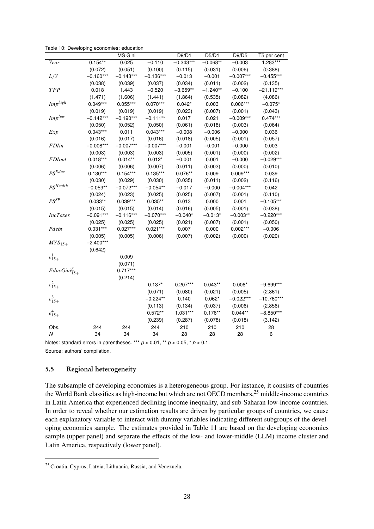|                      |             | MS Gini     |             | D9/D1       | D5/D1      | D9/D5       | T5 per cent  |
|----------------------|-------------|-------------|-------------|-------------|------------|-------------|--------------|
| Year                 | $0.154**$   | 0.025       | $-0.110$    | $-0.343***$ | $-0.068**$ | $-0.003$    | $1.283***$   |
|                      | (0.072)     | (0.051)     | (0.100)     | (0.115)     | (0.031)    | (0.006)     | (0.388)      |
| L/Y                  | $-0.160***$ | $-0.143***$ | $-0.136***$ | $-0.013$    | $-0.001$   | $-0.007***$ | $-0.455***$  |
|                      | (0.038)     | (0.039)     | (0.037)     | (0.034)     | (0.011)    | (0.002)     | (0.135)      |
| <b>TFP</b>           | 0.018       | 1.443       | $-0.520$    | $-3.659**$  | $-1.240**$ | $-0.100$    | $-21.119***$ |
|                      | (1.471)     | (1.606)     | (1.441)     | (1.864)     | (0.535)    | (0.082)     | (4.086)      |
| $Imp^{high}$         | $0.049***$  | $0.055***$  | $0.070***$  | $0.042*$    | 0.003      | $0.006***$  | $-0.075*$    |
|                      | (0.019)     | (0.019)     | (0.019)     | (0.023)     | (0.007)    | (0.001)     | (0.043)      |
| $Imp^{low}$          | $-0.142***$ | $-0.190***$ | $-0.111**$  | 0.017       | 0.021      | $-0.009***$ | $0.474***$   |
|                      | (0.050)     | (0.052)     | (0.050)     | (0.061)     | (0.018)    | (0.003)     | (0.064)      |
| Exp                  | $0.043***$  | 0.011       | $0.043***$  | $-0.008$    | $-0.006$   | $-0.000$    | 0.036        |
|                      | (0.016)     | (0.017)     | (0.016)     | (0.018)     | (0.005)    | (0.001)     | (0.057)      |
| <b>FDI</b> in        | $-0.008***$ | $-0.007***$ | $-0.007***$ | $-0.001$    | $-0.001$   | $-0.000$    | 0.003        |
|                      | (0.003)     | (0.003)     | (0.003)     | (0.005)     | (0.001)    | (0.000)     | (0.002)      |
| <b>FDIout</b>        | $0.018***$  | $0.014**$   | $0.012*$    | $-0.001$    | 0.001      | $-0.000$    | $-0.029***$  |
|                      | (0.006)     | (0.006)     | (0.007)     | (0.011)     | (0.003)    | (0.000)     | (0.010)      |
| $PS^{Educ}$          | $0.130***$  | $0.154***$  | $0.135***$  | $0.076**$   | 0.009      | $0.009***$  | 0.039        |
|                      | (0.030)     | (0.029)     | (0.030)     | (0.035)     | (0.011)    | (0.002)     | (0.116)      |
| PS <sup>Health</sup> | $-0.059**$  | $-0.072***$ | $-0.054**$  | $-0.017$    | $-0.000$   | $-0.004***$ | 0.042        |
|                      | (0.024)     | (0.023)     | (0.025)     | (0.025)     | (0.007)    | (0.001)     | (0.110)      |
| $PS^{SP}$            | $0.033**$   | $0.039***$  | $0.035***$  | 0.013       | 0.000      | 0.001       | $-0.105***$  |
|                      | (0.015)     | (0.015)     | (0.014)     | (0.016)     | (0.005)    | (0.001)     | (0.038)      |
| <b>IncTaxes</b>      | $-0.091***$ | $-0.116***$ | $-0.070***$ | $-0.040*$   | $-0.013*$  | $-0.003**$  | $-0.220***$  |
|                      | (0.025)     | (0.025)     | (0.025)     | (0.021)     | (0.007)    | (0.001)     | (0.050)      |
| Pdebt                | $0.031***$  | $0.027***$  | $0.021***$  | 0.007       | 0.000      | $0.002***$  | $-0.006$     |
|                      | (0.005)     | (0.005)     | (0.006)     | (0.007)     | (0.002)    | (0.000)     | (0.020)      |
| $MYS_{15+}$          | $-2.400***$ |             |             |             |            |             |              |
|                      | (0.642)     |             |             |             |            |             |              |
| $e_{15+}^1$          |             | 0.009       |             |             |            |             |              |
|                      |             | (0.071)     |             |             |            |             |              |
| $EducGini_{15+}^{E}$ |             | $0.717***$  |             |             |            |             |              |
|                      |             | (0.214)     |             |             |            |             |              |
| $e_{15+}^2$          |             |             | $0.137*$    | $0.207***$  | $0.043**$  | $0.008*$    | $-9.699***$  |
|                      |             |             | (0.071)     | (0.080)     | (0.021)    | (0.005)     | (2.861)      |
| $e_{15+}^3$          |             |             | $-0.224**$  | 0.140       | $0.062*$   | $-0.022***$ | $-10.760***$ |
|                      |             |             | (0.113)     | (0.134)     | (0.037)    | (0.006)     | (2.856)      |
| $e_{15+}^4$          |             |             | $0.572**$   | $1.031***$  | $0.176**$  | $0.044**$   | $-8.850***$  |
|                      |             |             | (0.239)     | (0.287)     | (0.078)    | (0.018)     | (3.142)      |
| Obs.                 | 244         | 244         | 244         | 210         | 210        | 210         | 28           |
| $\boldsymbol{N}$     | 34          | 34          | 34          | 28          | 28         | 28          | 6            |

<span id="page-29-1"></span>Table 10: Developing economies: education

Notes: standard errors in parentheses. \*\*\*  $p < 0.01$ , \*\*  $p < 0.05$ , \*  $p < 0.1$ . Source: authors' compilation.

## <span id="page-29-0"></span>5.5 Regional heterogeneity

The subsample of developing economies is a heterogeneous group. For instance, it consists of countries the World Bank classifies as high-income but which are not OECD members,<sup>[25](#page-2-0)</sup> middle-income countries in Latin America that experienced declining income inequality, and sub-Saharan low-income countries. In order to reveal whether our estimation results are driven by particular groups of countries, we cause each explanatory variable to interact with dummy variables indicating different subgroups of the developing economies sample. The estimates provided in Table [11](#page-31-0) are based on the developing economies sample (upper panel) and separate the effects of the low- and lower-middle (LLM) income cluster and Latin America, respectively (lower panel).

<sup>25</sup> Croatia, Cyprus, Latvia, Lithuania, Russia, and Venezuela.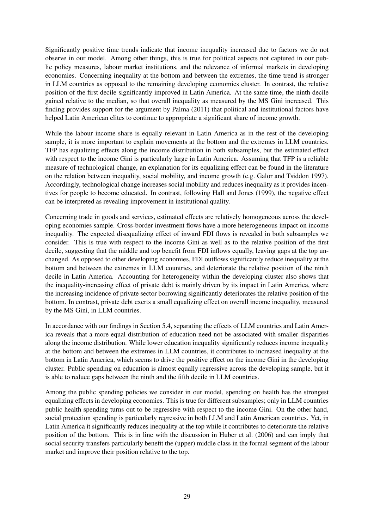Significantly positive time trends indicate that income inequality increased due to factors we do not observe in our model. Among other things, this is true for political aspects not captured in our public policy measures, labour market institutions, and the relevance of informal markets in developing economies. Concerning inequality at the bottom and between the extremes, the time trend is stronger in LLM countries as opposed to the remaining developing economies cluster. In contrast, the relative position of the first decile significantly improved in Latin America. At the same time, the ninth decile gained relative to the median, so that overall inequality as measured by the MS Gini increased. This finding provides support for the argument by [Palma](#page-37-4) [\(2011\)](#page-37-4) that political and institutional factors have helped Latin American elites to continue to appropriate a significant share of income growth.

While the labour income share is equally relevant in Latin America as in the rest of the developing sample, it is more important to explain movements at the bottom and the extremes in LLM countries. TFP has equalizing effects along the income distribution in both subsamples, but the estimated effect with respect to the income Gini is particularly large in Latin America. Assuming that TFP is a reliable measure of technological change, an explanation for its equalizing effect can be found in the literature on the relation between inequality, social mobility, and income growth (e.g. [Galor and Tsiddon](#page-35-17) [1997\)](#page-35-17). Accordingly, technological change increases social mobility and reduces inequality as it provides incentives for people to become educated. In contrast, following [Hall and Jones](#page-35-14) [\(1999\)](#page-35-14), the negative effect can be interpreted as revealing improvement in institutional quality.

Concerning trade in goods and services, estimated effects are relatively homogeneous across the developing economies sample. Cross-border investment flows have a more heterogeneous impact on income inequality. The expected disequalizing effect of inward FDI flows is revealed in both subsamples we consider. This is true with respect to the income Gini as well as to the relative position of the first decile, suggesting that the middle and top benefit from FDI inflows equally, leaving gaps at the top unchanged. As opposed to other developing economies, FDI outflows significantly reduce inequality at the bottom and between the extremes in LLM countries, and deteriorate the relative position of the ninth decile in Latin America. Accounting for heterogeneity within the developing cluster also shows that the inequality-increasing effect of private debt is mainly driven by its impact in Latin America, where the increasing incidence of private sector borrowing significantly deteriorates the relative position of the bottom. In contrast, private debt exerts a small equalizing effect on overall income inequality, measured by the MS Gini, in LLM countries.

In accordance with our findings in Section [5.4,](#page-26-0) separating the effects of LLM countries and Latin America reveals that a more equal distribution of education need not be associated with smaller disparities along the income distribution. While lower education inequality significantly reduces income inequality at the bottom and between the extremes in LLM countries, it contributes to increased inequality at the bottom in Latin America, which seems to drive the positive effect on the income Gini in the developing cluster. Public spending on education is almost equally regressive across the developing sample, but it is able to reduce gaps between the ninth and the fifth decile in LLM countries.

Among the public spending policies we consider in our model, spending on health has the strongest equalizing effects in developing economies. This is true for different subsamples; only in LLM countries public health spending turns out to be regressive with respect to the income Gini. On the other hand, social protection spending is particularly regressive in both LLM and Latin American countries. Yet, in Latin America it significantly reduces inequality at the top while it contributes to deteriorate the relative position of the bottom. This is in line with the discussion in [Huber et al.](#page-35-2) [\(2006\)](#page-35-2) and can imply that social security transfers particularly benefit the (upper) middle class in the formal segment of the labour market and improve their position relative to the top.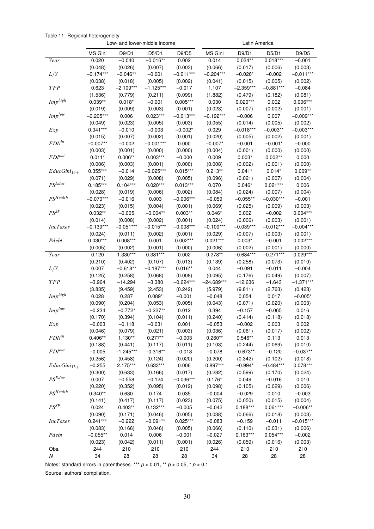|  |  | Table 11: Regional heterogeneity |
|--|--|----------------------------------|
|--|--|----------------------------------|

<span id="page-31-0"></span>

|                      | Low- and lower-middle income |                       |                        |                       | Latin America        |                        |                        |                       |  |  |
|----------------------|------------------------------|-----------------------|------------------------|-----------------------|----------------------|------------------------|------------------------|-----------------------|--|--|
|                      | MS Gini                      | D9/D1                 | D5/D1                  | D9/D5                 | MS Gini              | D9/D1                  | D5/D1                  | D9/D5                 |  |  |
| Year                 | 0.020                        | $-0.040$              | $-0.016**$             | 0.002                 | 0.014                | $0.034**$              | $0.018***$             | $-0.001$              |  |  |
|                      | (0.048)                      | (0.026)               | (0.007)                | (0.003)               | (0.066)              | (0.017)                | (0.006)                | (0.003)               |  |  |
| L/Y                  | $-0.174***$                  | $-0.046**$            | $-0.001$               | $-0.011***$           | $-0.204***$          | $-0.026*$              | $-0.002$               | $-0.011***$           |  |  |
|                      | (0.038)                      | (0.018)               | (0.005)                | (0.002)               | (0.041)              | (0.015)                | (0.005)                | (0.002)               |  |  |
| <b>TFP</b>           | 0.623                        | $-2.109***$           | $-1.125***$            | $-0.017$              | 1.107                | $-2.359***$            | $-0.881***$            | $-0.084$              |  |  |
|                      | (1.536)                      | (0.779)               | (0.211)                | (0.099)               | (1.882)              | (0.479)                | (0.182)                | (0.081)               |  |  |
| $Imp^{high}$         | $0.039**$                    | $0.018*$              | $-0.001$               | $0.005***$            | 0.030                | $0.020***$             | 0.002                  | $0.006***$            |  |  |
|                      | (0.019)                      | (0.009)               | (0.003)                | (0.001)               | (0.023)              | (0.007)                | (0.002)                | (0.001)               |  |  |
| $Imp^{low}$          | $-0.205***$                  | 0.006                 | $0.023***$             | $-0.013***$           | $-0.192***$          | $-0.006$               | 0.007                  | $-0.009***$           |  |  |
|                      | (0.049)                      | (0.023)               | (0.005)                | (0.003)               |                      | (0.014)                | (0.005)                | (0.002)               |  |  |
|                      | $0.041***$                   | $-0.010$              |                        | $-0.002*$             | (0.055)<br>0.029     | $-0.018***$            | $-0.003**$             | $-0.003***$           |  |  |
| Exp                  |                              |                       | $-0.003$               |                       |                      |                        |                        |                       |  |  |
| FDI <sup>in</sup>    | (0.015)                      | (0.007)               | (0.002)                | (0.001)               | (0.020)              | (0.005)                | (0.002)                | (0.001)               |  |  |
|                      | $-0.007**$                   | $-0.002$              | $-0.001***$            | 0.000                 | $-0.007*$            | $-0.001$               | $-0.001*$              | $-0.000$              |  |  |
| $FDI^{out}$          | (0.003)                      | (0.001)               | (0.000)                | (0.000)               | (0.004)              | (0.001)                | (0.000)                | (0.000)               |  |  |
|                      | $0.011*$                     | $0.006**$             | $0.003***$             | $-0.000$              | 0.009                | $0.003*$               | $0.002**$              | 0.000                 |  |  |
|                      | (0.006)                      | (0.003)               | (0.001)<br>$-0.025***$ | (0.000)<br>$0.015***$ | (0.008)              | (0.002)                | (0.001)                | (0.000)               |  |  |
| $EducGini_{15+}$     | $0.355***$                   | $-0.014$              |                        |                       | $0.213**$            | $0.041*$               | $0.014*$               | $0.009**$             |  |  |
| $PS^{Educ}$          | (0.071)                      | (0.029)               | (0.008)                | (0.005)               | (0.096)              | (0.021)                | (0.007)                | (0.004)               |  |  |
|                      | $0.185***$                   | $0.104***$            | $0.020***$             | $0.013***$            | 0.070                | $0.046*$               | $0.021***$             | 0.006                 |  |  |
| PSHealth             | (0.028)                      | (0.019)               | (0.006)                | (0.002)               | (0.084)              | (0.024)                | (0.007)                | (0.004)               |  |  |
|                      | $-0.070***$                  | $-0.016$              | 0.003                  | $-0.006***$           | $-0.059$             | $-0.055**$             | $-0.030***$            | $-0.001$              |  |  |
| $PS^{SP}$            | (0.023)                      | (0.015)               | (0.004)                | (0.001)               | (0.069)              | (0.025)                | (0.009)                | (0.003)               |  |  |
|                      | $0.032**$                    | $-0.005$              | $-0.004**$             | $0.003**$             | $0.046*$             | 0.002                  | $-0.002$               | $0.004***$            |  |  |
|                      | (0.014)                      | (0.008)               | (0.002)                | (0.001)               | (0.024)              | (0.006)                | (0.003)                | (0.001)               |  |  |
| <b>IncTaxes</b>      | $-0.139***$                  | $-0.051***$           | $-0.015***$            | $-0.008***$           | $-0.109***$          | $-0.039***$            | $-0.012***$            | $-0.004***$           |  |  |
| Pdebt                | (0.024)                      | (0.011)               | (0.002)                | (0.001)               | (0.029)              | (0.007)                | (0.003)                | (0.001)               |  |  |
|                      | $0.030***$                   | $0.008***$            | 0.001                  | $0.002***$            | $0.021***$           | $0.003*$               | $-0.001$               | $0.002***$            |  |  |
| Year                 | (0.005)<br>0.120             | (0.002)<br>1.330***   | (0.001)<br>$0.381***$  | (0.000)<br>0.002      | (0.006)<br>$0.278**$ | (0.002)<br>$-0.684***$ | (0.001)<br>$-0.271***$ | (0.000)<br>$0.029***$ |  |  |
|                      | (0.210)                      |                       |                        |                       |                      | (0.258)                |                        |                       |  |  |
| L/Y                  | 0.007                        | (0.402)<br>$-0.618**$ | (0.107)<br>$-0.187***$ | (0.013)<br>$0.016**$  | (0.139)<br>0.044     | $-0.091$               | (0.073)<br>$-0.011$    | (0.010)<br>$-0.004$   |  |  |
|                      | (0.125)                      | (0.258)               | (0.068)                | (0.008)               | (0.095)              | (0.176)                | (0.049)                | (0.007)               |  |  |
| <b>TFP</b>           | $-3.964$                     | $-14.294$             | $-3.380$               | $-0.624***$           | $-24.689***$         | $-12.636$              | $-1.643$               | $-1.371***$           |  |  |
|                      | (3.835)                      | (9.459)               | (2.453)                | (0.242)               | (5.979)              | (9.811)                | (2.763)                | (0.423)               |  |  |
| $Imp^{high}$         | 0.028                        | 0.287                 | $0.089*$               | $-0.001$              | $-0.048$             | 0.054                  | 0.017                  | $-0.005*$             |  |  |
|                      | (0.090)                      | (0.204)               | (0.053)                | (0.005)               | (0.043)              | (0.071)                | (0.020)                | (0.003)               |  |  |
| $Imp^{low}$          | $-0.234$                     | $-0.772*$             | $-0.227**$             | 0.012                 | 0.394                | $-0.157$               | $-0.065$               | 0.016                 |  |  |
|                      | (0.170)                      | (0.394)               | (0.104)                | (0.011)               | (0.240)              | (0.414)                | (0.118)                | (0.018)               |  |  |
| Exp                  | -0.003                       | $-0.118$              | $-0.031$               | 0.001                 | -0.053               | -0.002                 | 0.003                  | 0.002                 |  |  |
|                      | (0.046)                      | (0.079)               | (0.021)                | (0.003)               | (0.036)              | (0.061)                | (0.017)                | (0.002)               |  |  |
| FDI <sup>in</sup>    | $0.406**$                    | $1.130**$             | $0.277**$              | $-0.003$              | $0.260**$            | $0.546**$              | 0.113                  | 0.013                 |  |  |
|                      | (0.188)                      | (0.441)               | (0.117)                | (0.011)               | (0.103)              | (0.244)                | (0.069)                | (0.010)               |  |  |
| $FDI^{out}$          | $-0.005$                     | $-1.245***$           | $-0.316**$             | $-0.013$              | $-0.078$             | $-0.673**$             | $-0.120$               | $-0.037**$            |  |  |
|                      | (0.256)                      | (0.458)               | (0.124)                | (0.020)               | (0.200)              | (0.342)                | (0.102)                | (0.018)               |  |  |
| $EducGini15+$        | $-0.255$                     | 2.175***              | $0.633***$             | 0.006                 | $0.897***$           | $-0.994*$              | $-0.484***$            | $0.078***$            |  |  |
|                      | (0.300)                      | (0.633)               | (0.166)                | (0.017)               | (0.282)              | (0.599)                | (0.170)                | (0.024)               |  |  |
| $PS^{Educ}$          | 0.007                        | $-0.558$              | $-0.124$               | $-0.036***$           | $0.176*$             | 0.049                  | $-0.016$               | 0.010                 |  |  |
|                      | (0.220)                      | (0.352)               | (0.095)                | (0.012)               | (0.098)              | (0.105)                | (0.029)                | (0.006)               |  |  |
| PS <sup>Health</sup> | $0.340**$                    | 0.630                 | 0.174                  | 0.035                 | $-0.004$             | $-0.029$               | 0.010                  | $-0.003$              |  |  |
|                      | (0.141)                      | (0.417)               | (0.117)                | (0.023)               | (0.075)              | (0.050)                | (0.015)                | (0.004)               |  |  |
| $PS^{SP}$            | 0.024                        | $0.403**$             | $0.132***$             | $-0.005$              | $-0.042$             | $0.188***$             | $0.061***$             | $-0.006**$            |  |  |
|                      | (0.090)                      | (0.171)               | (0.046)                | (0.005)               | (0.038)              | (0.066)                | (0.018)                | (0.003)               |  |  |
| <b>IncTaxes</b>      | $0.241***$                   | $-0.222$              | $-0.091**$             | $0.025***$            | $-0.083$             | $-0.159$               | $-0.011$               | $-0.015***$           |  |  |
|                      | (0.083)                      | (0.166)               | (0.046)                | (0.005)               | (0.066)              | (0.110)                | (0.031)                | (0.006)               |  |  |
| Pdebt                | $-0.055**$                   | 0.014                 | 0.006                  | $-0.001$              | $-0.027$             | $0.163***$             | $0.054***$             | $-0.002$              |  |  |
|                      | (0.023)                      | (0.042)               | (0.011)                | (0.001)               | (0.026)              | (0.059)                | (0.016)                | (0.003)               |  |  |
| Obs.                 | 244                          | 210                   | 210                    | 210                   | 244                  | 210                    | 210                    | 210                   |  |  |
|                      |                              |                       |                        |                       |                      |                        |                        |                       |  |  |

Notes: standard errors in parentheses. \*\*\*  $p < 0.01$ , \*\*  $p < 0.05$ , \*  $p < 0.1$ .

Source: authors' compilation.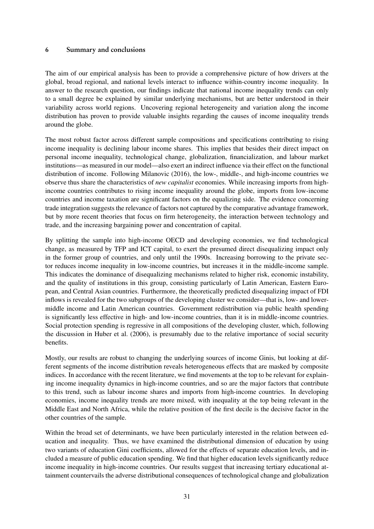### <span id="page-32-0"></span>6 Summary and conclusions

The aim of our empirical analysis has been to provide a comprehensive picture of how drivers at the global, broad regional, and national levels interact to influence within-country income inequality. In answer to the research question, our findings indicate that national income inequality trends can only to a small degree be explained by similar underlying mechanisms, but are better understood in their variability across world regions. Uncovering regional heterogeneity and variation along the income distribution has proven to provide valuable insights regarding the causes of income inequality trends around the globe.

The most robust factor across different sample compositions and specifications contributing to rising income inequality is declining labour income shares. This implies that besides their direct impact on personal income inequality, technological change, globalization, financialization, and labour market institutions—as measured in our model—also exert an indirect influence via their effect on the functional distribution of income. Following [Milanovic](#page-36-12) [\(2016\)](#page-36-12), the low-, middle-, and high-income countries we observe thus share the characteristics of *new capitalist* economies. While increasing imports from highincome countries contributes to rising income inequality around the globe, imports from low-income countries and income taxation are significant factors on the equalizing side. The evidence concerning trade integration suggests the relevance of factors not captured by the comparative advantage framework, but by more recent theories that focus on firm heterogeneity, the interaction between technology and trade, and the increasing bargaining power and concentration of capital.

By splitting the sample into high-income OECD and developing economies, we find technological change, as measured by TFP and ICT capital, to exert the presumed direct disequalizing impact only in the former group of countries, and only until the 1990s. Increasing borrowing to the private sector reduces income inequality in low-income countries, but increases it in the middle-income sample. This indicates the dominance of disequalizing mechanisms related to higher risk, economic instability, and the quality of institutions in this group, consisting particularly of Latin American, Eastern European, and Central Asian countries. Furthermore, the theoretically predicted disequalizing impact of FDI inflows is revealed for the two subgroups of the developing cluster we consider—that is, low- and lowermiddle income and Latin American countries. Government redistribution via public health spending is significantly less effective in high- and low-income countries, than it is in middle-income countries. Social protection spending is regressive in all compositions of the developing cluster, which, following the discussion in [Huber et al.](#page-35-2) [\(2006\)](#page-35-2), is presumably due to the relative importance of social security benefits.

Mostly, our results are robust to changing the underlying sources of income Ginis, but looking at different segments of the income distribution reveals heterogeneous effects that are masked by composite indices. In accordance with the recent literature, we find movements at the top to be relevant for explaining income inequality dynamics in high-income countries, and so are the major factors that contribute to this trend, such as labour income shares and imports from high-income countries. In developing economies, income inequality trends are more mixed, with inequality at the top being relevant in the Middle East and North Africa, while the relative position of the first decile is the decisive factor in the other countries of the sample.

Within the broad set of determinants, we have been particularly interested in the relation between education and inequality. Thus, we have examined the distributional dimension of education by using two variants of education Gini coefficients, allowed for the effects of separate education levels, and included a measure of public education spending. We find that higher education levels significantly reduce income inequality in high-income countries. Our results suggest that increasing tertiary educational attainment countervails the adverse distributional consequences of technological change and globalization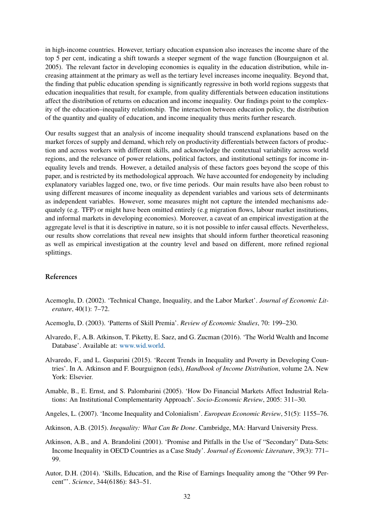in high-income countries. However, tertiary education expansion also increases the income share of the top 5 per cent, indicating a shift towards a steeper segment of the wage function [\(Bourguignon et al.](#page-34-8) [2005\)](#page-34-8). The relevant factor in developing economies is equality in the education distribution, while increasing attainment at the primary as well as the tertiary level increases income inequality. Beyond that, the finding that public education spending is significantly regressive in both world regions suggests that education inequalities that result, for example, from quality differentials between education institutions affect the distribution of returns on education and income inequality. Our findings point to the complexity of the education–inequality relationship. The interaction between education policy, the distribution of the quantity and quality of education, and income inequality thus merits further research.

Our results suggest that an analysis of income inequality should transcend explanations based on the market forces of supply and demand, which rely on productivity differentials between factors of production and across workers with different skills, and acknowledge the contextual variability across world regions, and the relevance of power relations, political factors, and institutional settings for income inequality levels and trends. However, a detailed analysis of these factors goes beyond the scope of this paper, and is restricted by its methodological approach. We have accounted for endogeneity by including explanatory variables lagged one, two, or five time periods. Our main results have also been robust to using different measures of income inequality as dependent variables and various sets of determinants as independent variables. However, some measures might not capture the intended mechanisms adequately (e.g. TFP) or might have been omitted entirely (e.g migration flows, labour market institutions, and informal markets in developing economies). Moreover, a caveat of an empirical investigation at the aggregate level is that it is descriptive in nature, so it is not possible to infer causal effects. Nevertheless, our results show correlations that reveal new insights that should inform further theoretical reasoning as well as empirical investigation at the country level and based on different, more refined regional splittings.

#### References

- <span id="page-33-2"></span>Acemoglu, D. (2002). 'Technical Change, Inequality, and the Labor Market'. *Journal of Economic Literature*, 40(1): 7–72.
- <span id="page-33-1"></span>Acemoglu, D. (2003). 'Patterns of Skill Premia'. *Review of Economic Studies*, 70: 199–230.
- <span id="page-33-7"></span>Alvaredo, F., A.B. Atkinson, T. Piketty, E. Saez, and G. Zucman (2016). 'The World Wealth and Income Database'. Available at: [www.wid.world.](www.wid.world)
- <span id="page-33-0"></span>Alvaredo, F., and L. Gasparini (2015). 'Recent Trends in Inequality and Poverty in Developing Countries'. In A. Atkinson and F. Bourguignon (eds), *Handbook of Income Distribution*, volume 2A. New York: Elsevier.
- <span id="page-33-4"></span>Amable, B., E. Ernst, and S. Palombarini (2005). 'How Do Financial Markets Affect Industrial Relations: An Institutional Complementarity Approach'. *Socio-Economic Review*, 2005: 311–30.
- <span id="page-33-5"></span>Angeles, L. (2007). 'Income Inequality and Colonialism'. *European Economic Review*, 51(5): 1155–76.
- <span id="page-33-3"></span>Atkinson, A.B. (2015). *Inequality: What Can Be Done*. Cambridge, MA: Harvard University Press.
- <span id="page-33-6"></span>Atkinson, A.B., and A. Brandolini (2001). 'Promise and Pitfalls in the Use of "Secondary" Data-Sets: Income Inequality in OECD Countries as a Case Study'. *Journal of Economic Literature*, 39(3): 771– 99.
- <span id="page-33-8"></span>Autor, D.H. (2014). 'Skills, Education, and the Rise of Earnings Inequality among the "Other 99 Percent"'. *Science*, 344(6186): 843–51.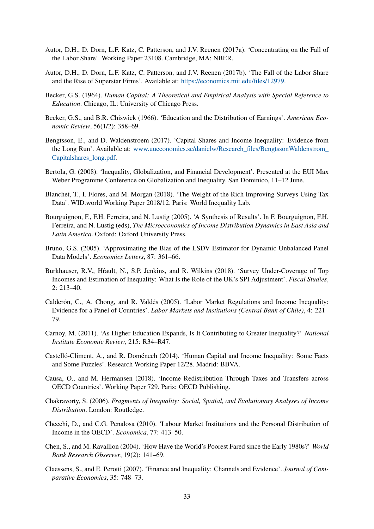- <span id="page-34-2"></span>Autor, D.H., D. Dorn, L.F. Katz, C. Patterson, and J.V. Reenen (2017a). 'Concentrating on the Fall of the Labor Share'. Working Paper 23108. Cambridge, MA: NBER.
- <span id="page-34-3"></span>Autor, D.H., D. Dorn, L.F. Katz, C. Patterson, and J.V. Reenen (2017b). 'The Fall of the Labor Share and the Rise of Superstar Firms'. Available at: [https://economics.mit.edu/files/12979.](https://economics.mit.edu/files/12979)
- <span id="page-34-6"></span>Becker, G.S. (1964). *Human Capital: A Theoretical and Empirical Analysis with Special Reference to Education*. Chicago, IL: University of Chicago Press.
- <span id="page-34-7"></span>Becker, G.S., and B.R. Chiswick (1966). 'Education and the Distribution of Earnings'. *American Economic Review*, 56(1/2): 358–69.
- <span id="page-34-13"></span>Bengtsson, E., and D. Waldenstroem (2017). 'Capital Shares and Income Inequality: Evidence from the Long Run'. Available at: [www.uueconomics.se/danielw/Research\\_files/BengtssonWaldenstrom\\_](www.uueconomics.se/danielw/Research_files/BengtssonWaldenstrom_Capitalshares_long.pdf) [Capitalshares\\_long.pdf.](www.uueconomics.se/danielw/Research_files/BengtssonWaldenstrom_Capitalshares_long.pdf)
- <span id="page-34-4"></span>Bertola, G. (2008). 'Inequality, Globalization, and Financial Development'. Presented at the EUI Max Weber Programme Conference on Globalization and Inequality, San Dominico, 11–12 June.
- <span id="page-34-15"></span>Blanchet, T., I. Flores, and M. Morgan (2018). 'The Weight of the Rich Improving Surveys Using Tax Data'. WID.world Working Paper 2018/12. Paris: World Inequality Lab.
- <span id="page-34-8"></span>Bourguignon, F., F.H. Ferreira, and N. Lustig (2005). 'A Synthesis of Results'. In F. Bourguignon, F.H. Ferreira, and N. Lustig (eds), *The Microeconomics of Income Distribution Dynamics in East Asia and Latin America*. Oxford: Oxford University Press.
- <span id="page-34-17"></span>Bruno, G.S. (2005). 'Approximating the Bias of the LSDV Estimator for Dynamic Unbalanced Panel Data Models'. *Economics Letters*, 87: 361–66.
- <span id="page-34-16"></span>Burkhauser, R.V., Hrault, N., S.P. Jenkins, and R. Wilkins (2018). 'Survey Under-Coverage of Top Incomes and Estimation of Inequality: What Is the Role of the UK's SPI Adjustment'. *Fiscal Studies*, 2: 213–40.
- <span id="page-34-10"></span>Calderón, C., A. Chong, and R. Valdés (2005). 'Labor Market Regulations and Income Inequality: Evidence for a Panel of Countries'. *Labor Markets and Institutions (Central Bank of Chile)*, 4: 221– 79.
- <span id="page-34-9"></span>Carnoy, M. (2011). 'As Higher Education Expands, Is It Contributing to Greater Inequality?' *National Institute Economic Review*, 215: R34–R47.
- <span id="page-34-1"></span>Castelló-Climent, A., and R. Doménech (2014). 'Human Capital and Income Inequality: Some Facts and Some Puzzles'. Research Working Paper 12/28. Madrid: BBVA.
- <span id="page-34-11"></span>Causa, O., and M. Hermansen (2018). 'Income Redistribution Through Taxes and Transfers across OECD Countries'. Working Paper 729. Paris: OECD Publishing.
- <span id="page-34-12"></span>Chakravorty, S. (2006). *Fragments of Inequality: Social, Spatial, and Evolutionary Analyses of Income Distribution*. London: Routledge.
- <span id="page-34-0"></span>Checchi, D., and C.G. Penalosa (2010). 'Labour Market Institutions and the Personal Distribution of Income in the OECD'. *Economica*, 77: 413–50.
- <span id="page-34-14"></span>Chen, S., and M. Ravallion (2004). 'How Have the World's Poorest Fared since the Early 1980s?' *World Bank Research Observer*, 19(2): 141–69.
- <span id="page-34-5"></span>Claessens, S., and E. Perotti (2007). 'Finance and Inequality: Channels and Evidence'. *Journal of Comparative Economics*, 35: 748–73.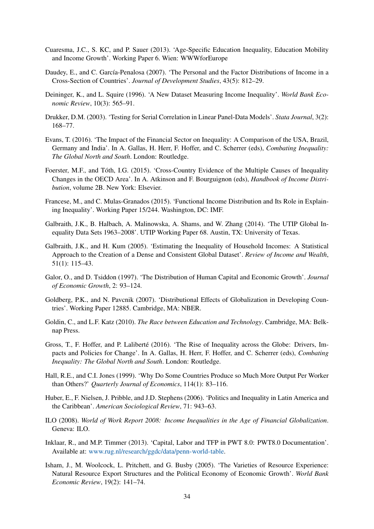- <span id="page-35-12"></span>Cuaresma, J.C., S. KC, and P. Sauer (2013). 'Age-Specific Education Inequality, Education Mobility and Income Growth'. Working Paper 6. Wien: WWWforEurope
- <span id="page-35-7"></span>Daudey, E., and C. García-Penalosa (2007). 'The Personal and the Factor Distributions of Income in a Cross-Section of Countries'. *Journal of Development Studies*, 43(5): 812–29.
- <span id="page-35-9"></span>Deininger, K., and L. Squire (1996). 'A New Dataset Measuring Income Inequality'. *World Bank Economic Review*, 10(3): 565–91.
- <span id="page-35-16"></span>Drukker, D.M. (2003). 'Testing for Serial Correlation in Linear Panel-Data Models'. *Stata Journal*, 3(2): 168–77.
- <span id="page-35-4"></span>Evans, T. (2016). 'The Impact of the Financial Sector on Inequality: A Comparison of the USA, Brazil, Germany and India'. In A. Gallas, H. Herr, F. Hoffer, and C. Scherrer (eds), *Combating Inequality: The Global North and South*. London: Routledge.
- <span id="page-35-6"></span>Foerster, M.F., and Tóth, I.G. (2015). 'Cross-Country Evidence of the Multiple Causes of Inequality Changes in the OECD Area'. In A. Atkinson and F. Bourguignon (eds), *Handbook of Income Distribution*, volume 2B. New York: Elsevier.
- <span id="page-35-8"></span>Francese, M., and C. Mulas-Granados (2015). 'Functional Income Distribution and Its Role in Explaining Inequality'. Working Paper 15/244. Washington, DC: IMF.
- <span id="page-35-10"></span>Galbraith, J.K., B. Halbach, A. Malinowska, A. Shams, and W. Zhang (2014). 'The UTIP Global Inequality Data Sets 1963–2008'. UTIP Working Paper 68. Austin, TX: University of Texas.
- <span id="page-35-11"></span>Galbraith, J.K., and H. Kum (2005). 'Estimating the Inequality of Household Incomes: A Statistical Approach to the Creation of a Dense and Consistent Global Dataset'. *Review of Income and Wealth*, 51(1): 115–43.
- <span id="page-35-17"></span>Galor, O., and D. Tsiddon (1997). 'The Distribution of Human Capital and Economic Growth'. *Journal of Economic Growth*, 2: 93–124.
- <span id="page-35-1"></span>Goldberg, P.K., and N. Pavcnik (2007). 'Distributional Effects of Globalization in Developing Countries'. Working Paper 12885. Cambridge, MA: NBER.
- <span id="page-35-5"></span>Goldin, C., and L.F. Katz (2010). *The Race between Education and Technology*. Cambridge, MA: Belknap Press.
- <span id="page-35-3"></span>Gross, T., F. Hoffer, and P. Laliberté (2016). 'The Rise of Inequality across the Globe: Drivers, Impacts and Policies for Change'. In A. Gallas, H. Herr, F. Hoffer, and C. Scherrer (eds), *Combating Inequality: The Global North and South*. London: Routledge.
- <span id="page-35-14"></span>Hall, R.E., and C.I. Jones (1999). 'Why Do Some Countries Produce so Much More Output Per Worker than Others?' *Quarterly Journal of Economics*, 114(1): 83–116.
- <span id="page-35-2"></span>Huber, E., F. Nielsen, J. Pribble, and J.D. Stephens (2006). 'Politics and Inequality in Latin America and the Caribbean'. *American Sociological Review*, 71: 943–63.
- <span id="page-35-0"></span>ILO (2008). *World of Work Report 2008: Income Inequalities in the Age of Financial Globalization*. Geneva: ILO.
- <span id="page-35-13"></span>Inklaar, R., and M.P. Timmer (2013). 'Capital, Labor and TFP in PWT 8.0: PWT8.0 Documentation'. Available at: [www.rug.nl/research/ggdc/data/penn-world-table.](www.rug.nl/research/ggdc/data/penn-world-table)
- <span id="page-35-15"></span>Isham, J., M. Woolcock, L. Pritchett, and G. Busby (2005). 'The Varieties of Resource Experience: Natural Resource Export Structures and the Political Economy of Economic Growth'. *World Bank Economic Review*, 19(2): 141–74.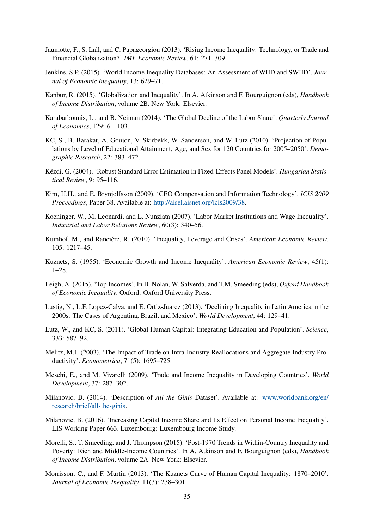- <span id="page-36-3"></span>Jaumotte, F., S. Lall, and C. Papageorgiou (2013). 'Rising Income Inequality: Technology, or Trade and Financial Globalization?' *IMF Economic Review*, 61: 271–309.
- <span id="page-36-14"></span>Jenkins, S.P. (2015). 'World Income Inequality Databases: An Assessment of WIID and SWIID'. *Journal of Economic Inequality*, 13: 629–71.
- <span id="page-36-9"></span>Kanbur, R. (2015). 'Globalization and Inequality'. In A. Atkinson and F. Bourguignon (eds), *Handbook of Income Distribution*, volume 2B. New York: Elsevier.
- <span id="page-36-6"></span>Karabarbounis, L., and B. Neiman (2014). 'The Global Decline of the Labor Share'. *Quarterly Journal of Economics*, 129: 61–103.
- <span id="page-36-15"></span>KC, S., B. Barakat, A. Goujon, V. Skirbekk, W. Sanderson, and W. Lutz (2010). 'Projection of Populations by Level of Educational Attainment, Age, and Sex for 120 Countries for 2005–2050'. *Demographic Research*, 22: 383–472.
- <span id="page-36-18"></span>Kézdi, G. (2004). 'Robust Standard Error Estimation in Fixed-Effects Panel Models'. *Hungarian Statistical Review*, 9: 95–116.
- <span id="page-36-7"></span>Kim, H.H., and E. Brynjolfsson (2009). 'CEO Compensation and Information Technology'. *ICIS 2009 Proceedings*, Paper 38. Available at: [http://aisel.aisnet.org/icis2009/38.](http://aisel.aisnet.org/icis2009/38)
- <span id="page-36-11"></span>Koeninger, W., M. Leonardi, and L. Nunziata (2007). 'Labor Market Institutions and Wage Inequality'. *Industrial and Labor Relations Review*, 60(3): 340–56.
- <span id="page-36-10"></span>Kumhof, M., and Ranciére, R. (2010). 'Inequality, Leverage and Crises'. *American Economic Review*, 105: 1217–45.
- <span id="page-36-4"></span>Kuznets, S. (1955). 'Economic Growth and Income Inequality'. *American Economic Review*, 45(1): 1–28.
- <span id="page-36-5"></span>Leigh, A. (2015). 'Top Incomes'. In B. Nolan, W. Salverda, and T.M. Smeeding (eds), *Oxford Handbook of Economic Inequality*. Oxford: Oxford University Press.
- <span id="page-36-2"></span>Lustig, N., L.F. Lopez-Calva, and E. Ortiz-Juarez (2013). 'Declining Inequality in Latin America in the 2000s: The Cases of Argentina, Brazil, and Mexico'. *World Development*, 44: 129–41.
- <span id="page-36-16"></span>Lutz, W., and KC, S. (2011). 'Global Human Capital: Integrating Education and Population'. *Science*, 333: 587–92.
- <span id="page-36-8"></span>Melitz, M.J. (2003). 'The Impact of Trade on Intra-Industry Reallocations and Aggregate Industry Productivity'. *Econometrica*, 71(5): 1695–725.
- <span id="page-36-1"></span>Meschi, E., and M. Vivarelli (2009). 'Trade and Income Inequality in Developing Countries'. *World Development*, 37: 287–302.
- <span id="page-36-13"></span>Milanovic, B. (2014). 'Description of *All the Ginis* Dataset'. Available at: [www.worldbank.org/en/](www.worldbank.org/en/research/brief/all-the-ginis) [research/brief/all-the-ginis.](www.worldbank.org/en/research/brief/all-the-ginis)
- <span id="page-36-12"></span>Milanovic, B. (2016). 'Increasing Capital Income Share and Its Effect on Personal Income Inequality'. LIS Working Paper 663. Luxembourg: Luxembourg Income Study.
- <span id="page-36-0"></span>Morelli, S., T. Smeeding, and J. Thompson (2015). 'Post-1970 Trends in Within-Country Inequality and Poverty: Rich and Middle-Income Countries'. In A. Atkinson and F. Bourguignon (eds), *Handbook of Income Distribution*, volume 2A. New York: Elsevier.
- <span id="page-36-17"></span>Morrisson, C., and F. Murtin (2013). 'The Kuznets Curve of Human Capital Inequality: 1870–2010'. *Journal of Economic Inequality*, 11(3): 238–301.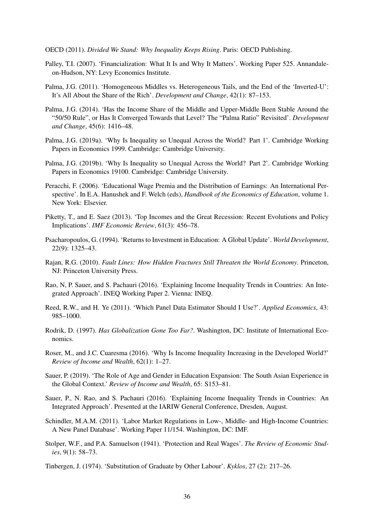<span id="page-37-0"></span>OECD (2011). *Divided We Stand: Why Inequality Keeps Rising*. Paris: OECD Publishing.

- <span id="page-37-13"></span>Palley, T.I. (2007). 'Financialization: What It Is and Why It Matters'. Working Paper 525. Annandaleon-Hudson, NY: Levy Economics Institute.
- <span id="page-37-4"></span>Palma, J.G. (2011). 'Homogeneous Middles vs. Heterogeneous Tails, and the End of the 'Inverted-U': It's All About the Share of the Rich'. *Development and Change*, 42(1): 87–153.
- <span id="page-37-5"></span>Palma, J.G. (2014). 'Has the Income Share of the Middle and Upper-Middle Been Stable Around the "50/50 Rule", or Has It Converged Towards that Level? The "Palma Ratio" Revisited'. *Development and Change*, 45(6): 1416–48.
- <span id="page-37-2"></span>Palma, J.G. (2019a). 'Why Is Inequality so Unequal Across the World? Part 1'. Cambridge Working Papers in Economics 1999. Cambridge: Cambridge University.
- <span id="page-37-3"></span>Palma, J.G. (2019b). 'Why Is Inequality so Unequal Across the World? Part 2'. Cambridge Working Papers in Economics 19100. Cambridge: Cambridge University.
- <span id="page-37-11"></span>Peracchi, F. (2006). 'Educational Wage Premia and the Distribution of Earnings: An International Perspective'. In E.A. Hanushek and F. Welch (eds), *Handbook of the Economics of Education*, volume 1. New York: Elsevier.
- <span id="page-37-6"></span>Piketty, T., and E. Saez (2013). 'Top Incomes and the Great Recession: Recent Evolutions and Policy Implications'. *IMF Economic Review*, 61(3): 456–78.
- <span id="page-37-14"></span>Psacharopoulos, G. (1994). 'Returns to Investment in Education: A Global Update'. *World Development*, 22(9): 1325–43.
- <span id="page-37-9"></span>Rajan, R.G. (2010). *Fault Lines: How Hidden Fractures Still Threaten the World Economy*. Princeton, NJ: Princeton University Press.
- Rao, N, P. Sauer, and S. Pachauri (2016). 'Explaining Income Inequality Trends in Countries: An Integrated Approach'. INEQ Working Paper 2. Vienna: INEQ.
- <span id="page-37-16"></span>Reed, R.W., and H. Ye (2011). 'Which Panel Data Estimator Should I Use?'. *Applied Economics*, 43: 985–1000.
- <span id="page-37-8"></span>Rodrik, D. (1997). *Has Globalization Gone Too Far?*. Washington, DC: Institute of International Economics.
- <span id="page-37-1"></span>Roser, M., and J.C. Cuaresma (2016). 'Why Is Income Inequality Increasing in the Developed World?' *Review of Income and Wealth*, 62(1): 1–27.
- <span id="page-37-12"></span>Sauer, P. (2019). 'The Role of Age and Gender in Education Expansion: The South Asian Experience in the Global Context.' *Review of Income and Wealth*, 65: S153–81.
- Sauer, P., N. Rao, and S. Pachauri (2016). 'Explaining Income Inequality Trends in Countries: An Integrated Approach'. Presented at the IARIW General Conference, Dresden, August.
- <span id="page-37-15"></span>Schindler, M.A.M. (2011). 'Labor Market Regulations in Low-, Middle- and High-Income Countries: A New Panel Database'. Working Paper 11/154. Washington, DC: IMF.
- <span id="page-37-7"></span>Stolper, W.F., and P.A. Samuelson (1941). 'Protection and Real Wages'. *The Review of Economic Studies*, 9(1): 58–73.
- <span id="page-37-10"></span>Tinbergen, J. (1974). 'Substitution of Graduate by Other Labour'. *Kyklos*, 27 (2): 217–26.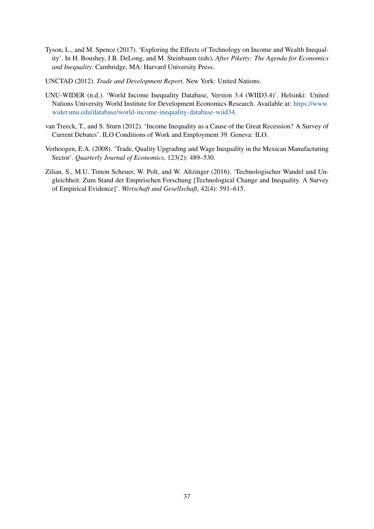- <span id="page-38-1"></span>Tyson, L., and M. Spence (2017). 'Exploring the Effects of Technology on Income and Wealth Inequality'. In H. Boushey, J.B. DeLong, and M. Steinbaum (eds), *After Piketty: The Agenda for Economics and Inequality*. Cambridge, MA: Harvard University Press.
- UNCTAD (2012). *Trade and Development Report*. New York: United Nations.
- <span id="page-38-4"></span>UNU-WIDER (n.d.). 'World Income Inequality Database, Version 3.4 (WIID3.4)'. Helsinki: United Nations University World Institute for Development Economics Research. Available at: [https://www.](https://www.wider.unu.edu/database/world-income-inequality-database-wiid34) [wider.unu.edu/database/world-income-inequality-database-wiid34.](https://www.wider.unu.edu/database/world-income-inequality-database-wiid34)
- <span id="page-38-3"></span>van Treeck, T., and S. Sturn (2012). 'Income Inequality as a Cause of the Great Recession? A Survey of Current Debates'. ILO Conditions of Work and Employment 39. Geneva: ILO.
- <span id="page-38-2"></span>Verhoogen, E.A. (2008). 'Trade, Quality Upgrading and Wage Inequality in the Mexican Manufacturing Sector'. *Quarterly Journal of Economics*, 123(2): 489–530.
- <span id="page-38-0"></span>Zilian, S., M.U. Timon Scheuer, W. Polt, and W. Altzinger (2016). 'Technologischer Wandel und Ungleichheit. Zum Stand der Empirischen Forschung [Technological Change and Inequality. A Survey of Empirical Evidence]'. *Wirtschaft und Gesellschaft*, 42(4): 591–615.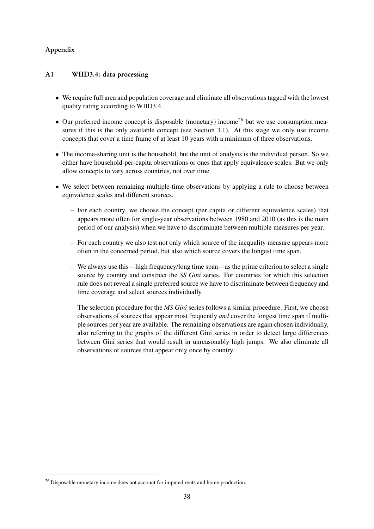# Appendix

## A1 WIID3.4: data processing

- We require full area and population coverage and eliminate all observations tagged with the lowest quality rating according to WIID3.4.
- Our preferred income concept is disposable (monetary) income<sup>[26](#page-2-0)</sup> but we use consumption measures if this is the only available concept (see Section [3.1\)](#page-9-0). At this stage we only use income concepts that cover a time frame of at least 10 years with a minimum of three observations.
- The income-sharing unit is the household, but the unit of analysis is the individual person. So we either have household-per-capita observations or ones that apply equivalence scales. But we only allow concepts to vary across countries, not over time.
- We select between remaining multiple-time observations by applying a rule to choose between equivalence scales and different sources.
	- For each country, we choose the concept (per capita or different equivalence scales) that appears more often for single-year observations between 1980 and 2010 (as this is the main period of our analysis) when we have to discriminate between multiple measures per year.
	- For each country we also test not only which source of the inequality measure appears more often in the concerned period, but also which source covers the longest time span.
	- We always use this—high frequency/long time span—as the prime criterion to select a single source by country and construct the *SS Gini* series. For countries for which this selection rule does not reveal a single preferred source we have to discriminate between frequency and time coverage and select sources individually.
	- The selection procedure for the *MS Gini* series follows a similar procedure. First, we choose observations of sources that appear most frequently *and* cover the longest time span if multiple sources per year are available. The remaining observations are again chosen individually, also referring to the graphs of the different Gini series in order to detect large differences between Gini series that would result in unreasonably high jumps. We also eliminate all observations of sources that appear only once by country.

<sup>&</sup>lt;sup>26</sup> Disposable monetary income does not account for imputed rents and home production.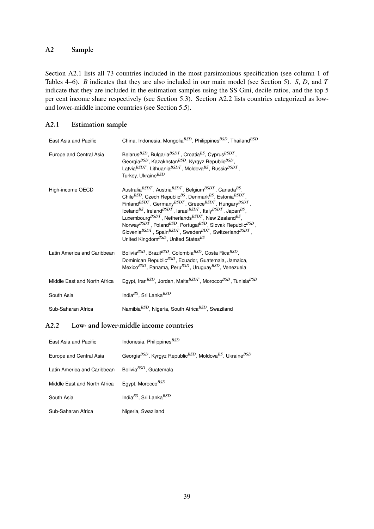## A2 Sample

Section [A2.1](#page-3-1) lists all 73 countries included in the most parsimonious specification (see column 1 of Tables [4](#page-20-0)[–6\)](#page-22-0). *B* indicates that they are also included in our main model (see Section [5\)](#page-17-0). *S*, *D*, and *T* indicate that they are included in the estimation samples using the SS Gini, decile ratios, and the top 5 per cent income share respectively (see Section [5.3\)](#page-24-0). Section [A2.2](#page-4-0) lists countries categorized as lowand lower-middle income countries (see Section [5.5\)](#page-29-0).

## A2.1 Estimation sample

| East Asia and Pacific        | China, Indonesia, Mongolia <sup>BSD</sup> , Philippines <sup>BSD</sup> , Thailand <sup>BSD</sup>                                                                                                                                                                                                                                                                                                                                                                                                                                                                                                                                                                                                                                                                                                                            |
|------------------------------|-----------------------------------------------------------------------------------------------------------------------------------------------------------------------------------------------------------------------------------------------------------------------------------------------------------------------------------------------------------------------------------------------------------------------------------------------------------------------------------------------------------------------------------------------------------------------------------------------------------------------------------------------------------------------------------------------------------------------------------------------------------------------------------------------------------------------------|
| Europe and Central Asia      | Belarus <sup>BSD</sup> , Bulgaria <sup>BSDT</sup> , Croatia <sup>BS</sup> , Cyprus <sup>BSDT</sup> ,<br>Georgia <sup>BSD</sup> , Kazakhstan <sup>BSD</sup> , Kyrgyz Republic <sup>BSD</sup> ,<br>Latvia $^{BSDT}$ , Lithuania $^{BSDT}$ , Moldova $^{BS}$ , Russia $^{BSDT}$ ,<br>Turkey, Ukraine <sup>BSD</sup>                                                                                                                                                                                                                                                                                                                                                                                                                                                                                                            |
| High-income OECD             | Australia ${}^{BSDT}$ , Austria ${}^{BSDT}$ , Belgium ${}^{BSDT}$ , Canada ${}^{BS}$ ,<br>Chile <sup>BSD</sup> , Czech Republic <sup>BS</sup> , Denmark <sup>BS</sup> , Estonia <sup>BSDT</sup> .<br>Finland <sup>BSDT</sup> , Germany <sup>BSDT</sup> , Greece <sup>BSDT</sup> , Hungary <sup>BSDT</sup> ,<br>Iceland <sup>BS</sup> , Ireland <sup>BSDT</sup> , Israel <sup>BSDT</sup> , Italy <sup>BSDT</sup> , Japan <sup>BS</sup> ,<br>Luxembourg <sup>BSDT</sup> , Netherlands <sup>BSDT</sup> , New Zealand <sup>BS</sup> ,<br>Norway <sup>BSDT</sup> , Poland <sup>BSD</sup> , Portugal <sup>BSD</sup> , Slovak Republic <sup>BSD</sup> ,<br>Slovenia <sup>BSDT</sup> , Spain <sup>BSDT</sup> , Sweden <sup>BDT</sup> , Switzerland <sup>BSDT</sup> ,<br>United Kingdom <sup>BSD</sup> , United States <sup>BS</sup> |
| Latin America and Caribbean  | Bolivia <sup>BSD</sup> , Brazil <sup>BSD</sup> , Colombia <sup>BSD</sup> , Costa Rica <sup>BSD</sup> ,<br>Dominican Republic <sup>BSD</sup> , Ecuador, Guatemala, Jamaica,<br>Mexico <sup>BSD</sup> , Panama, Peru <sup>BSD</sup> , Uruguay <sup>BSD</sup> , Venezuela                                                                                                                                                                                                                                                                                                                                                                                                                                                                                                                                                      |
| Middle East and North Africa | Egypt, Iran <sup>BSD</sup> , Jordan, Malta <sup>BSDT</sup> , Morocco <sup>BSD</sup> , Tunisia <sup>BSD</sup>                                                                                                                                                                                                                                                                                                                                                                                                                                                                                                                                                                                                                                                                                                                |
| South Asia                   | India <sup>BS</sup> , Sri Lanka <sup>BSD</sup>                                                                                                                                                                                                                                                                                                                                                                                                                                                                                                                                                                                                                                                                                                                                                                              |
| Sub-Saharan Africa           | Namibia <sup>BSD</sup> , Nigeria, South Africa <sup>BSD</sup> , Swaziland                                                                                                                                                                                                                                                                                                                                                                                                                                                                                                                                                                                                                                                                                                                                                   |

## A2.2 Low- and lower-middle income countries

| East Asia and Pacific        | Indonesia, Philippines <sup>BSD</sup>                                                                    |
|------------------------------|----------------------------------------------------------------------------------------------------------|
| Europe and Central Asia      | Georgia <sup>BSD</sup> , Kyrgyz Republic <sup>BSD</sup> , Moldova <sup>BS</sup> , Ukraine <sup>BSD</sup> |
| Latin America and Caribbean  | Bolivia <sup>BSD</sup> , Guatemala                                                                       |
| Middle East and North Africa | Egypt, Morocco <sup>BSD</sup>                                                                            |
| South Asia                   | India <sup>BS</sup> , Sri Lanka <sup>BSD</sup>                                                           |
| Sub-Saharan Africa           | Nigeria, Swaziland                                                                                       |